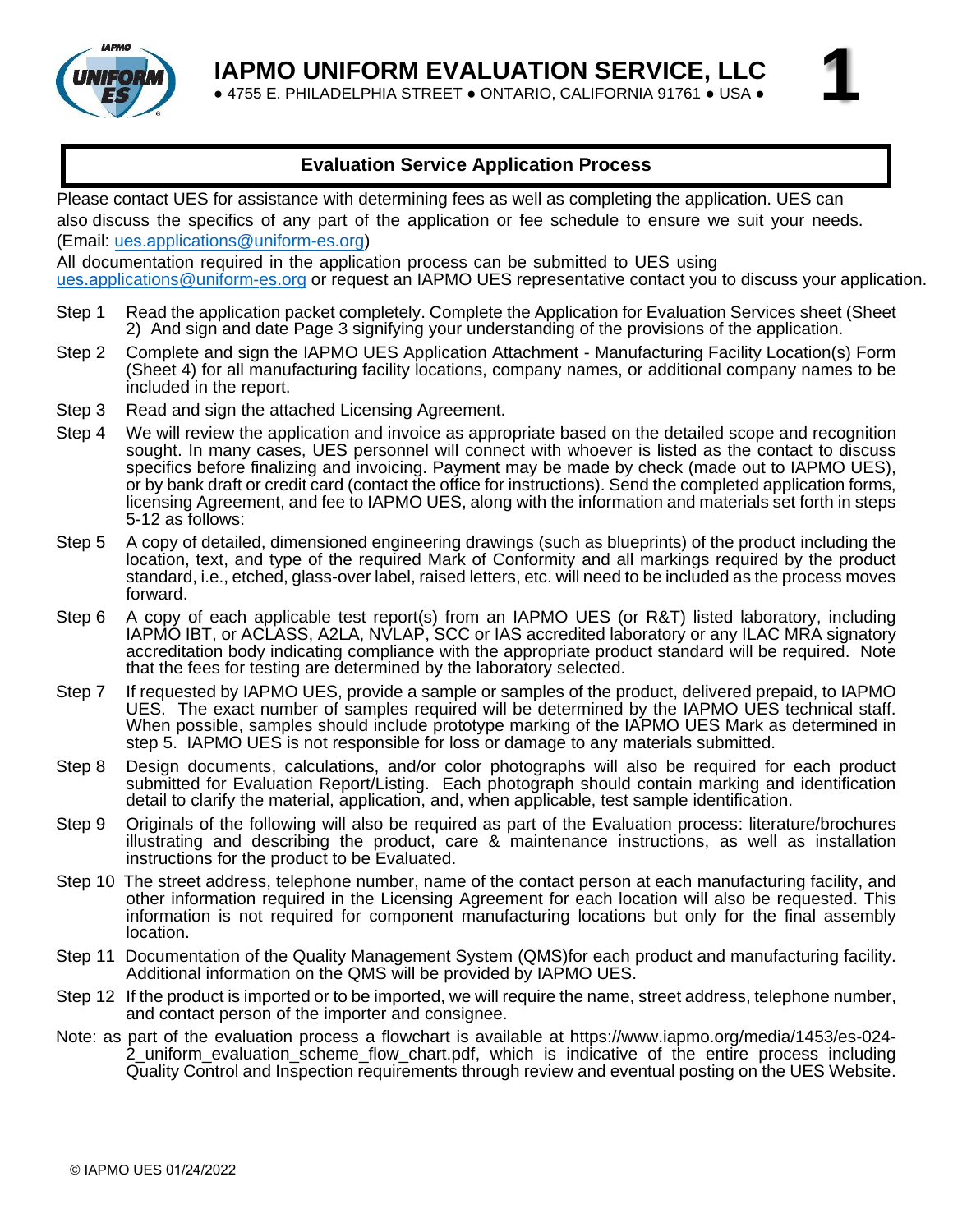

**1**

● 4755 E. PHILADELPHIA STREET ● ONTARIO, CALIFORNIA 91761 ● USA ●

### **Evaluation Service Application Process**

Please contact UES for assistance with determining fees as well as completing the application. UES can [also discuss the specifics of](mailto:Applications@uniform-es.org) any part of the application or fee schedule to ensure we suit your needs. (Email: ues.applications@uniform-es.org)

[All doc](mailto:Applications@uniform-es.org)umentation required in the application process can be submitted to UES using ues.applications@uniform-es.org or request an IAPMO UES representative contact you to discuss your application.

- Step 1 Read the application packet completely. Complete the Application for Evaluation Services sheet (Sheet 2) And sign and date Page 3 signifying your understanding of the provisions of the application.
- Step 2 Complete and sign the IAPMO UES Application Attachment Manufacturing Facility Location(s) Form (Sheet 4) for all manufacturing facility locations, company names, or additional company names to be included in the report.
- Step 3 Read and sign the attached Licensing Agreement.
- Step 4 We will review the application and invoice as appropriate based on the detailed scope and recognition sought. In many cases, UES personnel will connect with whoever is listed as the contact to discuss specifics before finalizing and invoicing. Payment may be made by check (made out to IAPMO UES), or by bank draft or credit card (contact the office for instructions). Send the completed application forms, licensing Agreement, and fee to IAPMO UES, along with the information and materials set forth in steps 5-12 as follows:
- Step 5 A copy of detailed, dimensioned engineering drawings (such as blueprints) of the product including the location, text, and type of the required Mark of Conformity and all markings required by the product standard, i.e., etched, glass-over label, raised letters, etc. will need to be included as the process moves forward.
- Step 6 A copy of each applicable test report(s) from an IAPMO UES (or R&T) listed laboratory, including IAPMO IBT, or ACLASS, A2LA, NVLAP, SCC or IAS accredited laboratory or any ILAC MRA signatory accreditation body indicating compliance with the appropriate product standard will be required. Note that the fees for testing are determined by the laboratory selected.
- Step 7 If requested by IAPMO UES, provide a sample or samples of the product, delivered prepaid, to IAPMO UES. The exact number of samples required will be determined by the IAPMO UES technical staff. When possible, samples should include prototype marking of the IAPMO UES Mark as determined in step 5. IAPMO UES is not responsible for loss or damage to any materials submitted.
- Step 8 Design documents, calculations, and/or color photographs will also be required for each product submitted for Evaluation Report/Listing. Each photograph should contain marking and identification detail to clarify the material, application, and, when applicable, test sample identification.
- Step 9 Originals of the following will also be required as part of the Evaluation process: literature/brochures illustrating and describing the product, care & maintenance instructions, as well as installation instructions for the product to be Evaluated.
- Step 10 The street address, telephone number, name of the contact person at each manufacturing facility, and other information required in the Licensing Agreement for each location will also be requested. This information is not required for component manufacturing locations but only for the final assembly location.
- Step 11 Documentation of the Quality Management System (QMS)for each product and manufacturing facility. Additional information on the QMS will be provided by IAPMO UES.
- Step 12 If the product is imported or to be imported, we will require the name, street address, telephone number, and contact person of the importer and consignee.
- Note: as part of the evaluation process a flowchart is available at [https://www.iapmo.org/media/1453/es-024-](https://www.iapmo.org/media/1453/es-024-2_uniform_evaluation_scheme_flow_chart.pdf) [2\\_uniform\\_evaluation\\_scheme\\_flow\\_chart.pdf,](https://www.iapmo.org/media/1453/es-024-2_uniform_evaluation_scheme_flow_chart.pdf) which is indicative of the entire process including Quality Control and Inspection requirements through review and eventual posting on the UES Website.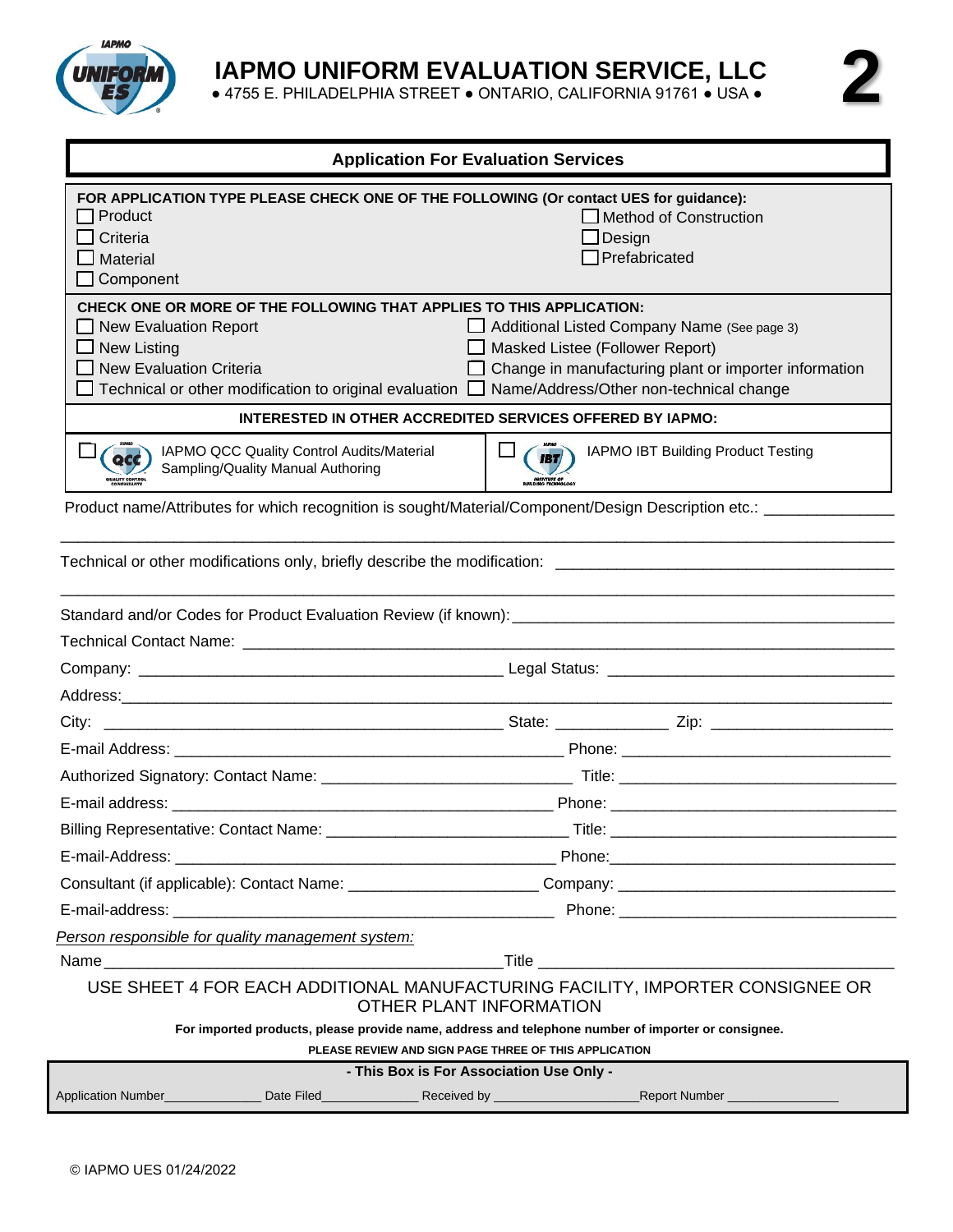

● 4755 E. PHILADELPHIA STREET ● ONTARIO, CALIFORNIA 91761 ● USA ●

| <b>Application For Evaluation Services</b>                                                                                                                                                                                                                                   |                                                                                                                                                                                                                                      |  |  |  |  |  |  |  |
|------------------------------------------------------------------------------------------------------------------------------------------------------------------------------------------------------------------------------------------------------------------------------|--------------------------------------------------------------------------------------------------------------------------------------------------------------------------------------------------------------------------------------|--|--|--|--|--|--|--|
| FOR APPLICATION TYPE PLEASE CHECK ONE OF THE FOLLOWING (Or contact UES for guidance):<br>Product<br>$\Box$ Criteria<br>$\Box$ Material<br>$\Box$ Component                                                                                                                   | Method of Construction<br>Design<br>$\Box$ Prefabricated                                                                                                                                                                             |  |  |  |  |  |  |  |
| CHECK ONE OR MORE OF THE FOLLOWING THAT APPLIES TO THIS APPLICATION:<br><b>New Evaluation Report</b><br>l 1<br>$\Box$ New Listing<br>$\Box$ New Evaluation Criteria<br>Technical or other modification to original evaluation $\Box$ Name/Address/Other non-technical change | Additional Listed Company Name (See page 3)<br>Masked Listee (Follower Report)<br>Change in manufacturing plant or importer information                                                                                              |  |  |  |  |  |  |  |
| <b>INTERESTED IN OTHER ACCREDITED SERVICES OFFERED BY IAPMO:</b>                                                                                                                                                                                                             |                                                                                                                                                                                                                                      |  |  |  |  |  |  |  |
| IAPMO QCC Quality Control Audits/Material<br><b>acc</b><br>Sampling/Quality Manual Authoring                                                                                                                                                                                 | IAPMO IBT Building Product Testing<br><b>IBT</b>                                                                                                                                                                                     |  |  |  |  |  |  |  |
| Product name/Attributes for which recognition is sought/Material/Component/Design Description etc.: _________                                                                                                                                                                |                                                                                                                                                                                                                                      |  |  |  |  |  |  |  |
|                                                                                                                                                                                                                                                                              |                                                                                                                                                                                                                                      |  |  |  |  |  |  |  |
|                                                                                                                                                                                                                                                                              |                                                                                                                                                                                                                                      |  |  |  |  |  |  |  |
|                                                                                                                                                                                                                                                                              |                                                                                                                                                                                                                                      |  |  |  |  |  |  |  |
|                                                                                                                                                                                                                                                                              |                                                                                                                                                                                                                                      |  |  |  |  |  |  |  |
|                                                                                                                                                                                                                                                                              |                                                                                                                                                                                                                                      |  |  |  |  |  |  |  |
|                                                                                                                                                                                                                                                                              |                                                                                                                                                                                                                                      |  |  |  |  |  |  |  |
|                                                                                                                                                                                                                                                                              |                                                                                                                                                                                                                                      |  |  |  |  |  |  |  |
|                                                                                                                                                                                                                                                                              |                                                                                                                                                                                                                                      |  |  |  |  |  |  |  |
|                                                                                                                                                                                                                                                                              |                                                                                                                                                                                                                                      |  |  |  |  |  |  |  |
|                                                                                                                                                                                                                                                                              |                                                                                                                                                                                                                                      |  |  |  |  |  |  |  |
|                                                                                                                                                                                                                                                                              |                                                                                                                                                                                                                                      |  |  |  |  |  |  |  |
| Consultant (if applicable): Contact Name: ________________________Company: _________________________                                                                                                                                                                         |                                                                                                                                                                                                                                      |  |  |  |  |  |  |  |
|                                                                                                                                                                                                                                                                              | Phone: <u>www.communications.com and the set of the set of the set of the set of the set of the set of the set of the set of the set of the set of the set of the set of the set of the set of the set of the set of the set of </u> |  |  |  |  |  |  |  |
| Person responsible for quality management system:                                                                                                                                                                                                                            |                                                                                                                                                                                                                                      |  |  |  |  |  |  |  |
|                                                                                                                                                                                                                                                                              |                                                                                                                                                                                                                                      |  |  |  |  |  |  |  |
| USE SHEET 4 FOR EACH ADDITIONAL MANUFACTURING FACILITY, IMPORTER CONSIGNEE OR<br>OTHER PLANT INFORMATION                                                                                                                                                                     |                                                                                                                                                                                                                                      |  |  |  |  |  |  |  |
| For imported products, please provide name, address and telephone number of importer or consignee.<br>PLEASE REVIEW AND SIGN PAGE THREE OF THIS APPLICATION                                                                                                                  |                                                                                                                                                                                                                                      |  |  |  |  |  |  |  |
| - This Box is For Association Use Only -<br>Application Number_______________Date Filed_______________Received by ______________________________Report Number _______________                                                                                                |                                                                                                                                                                                                                                      |  |  |  |  |  |  |  |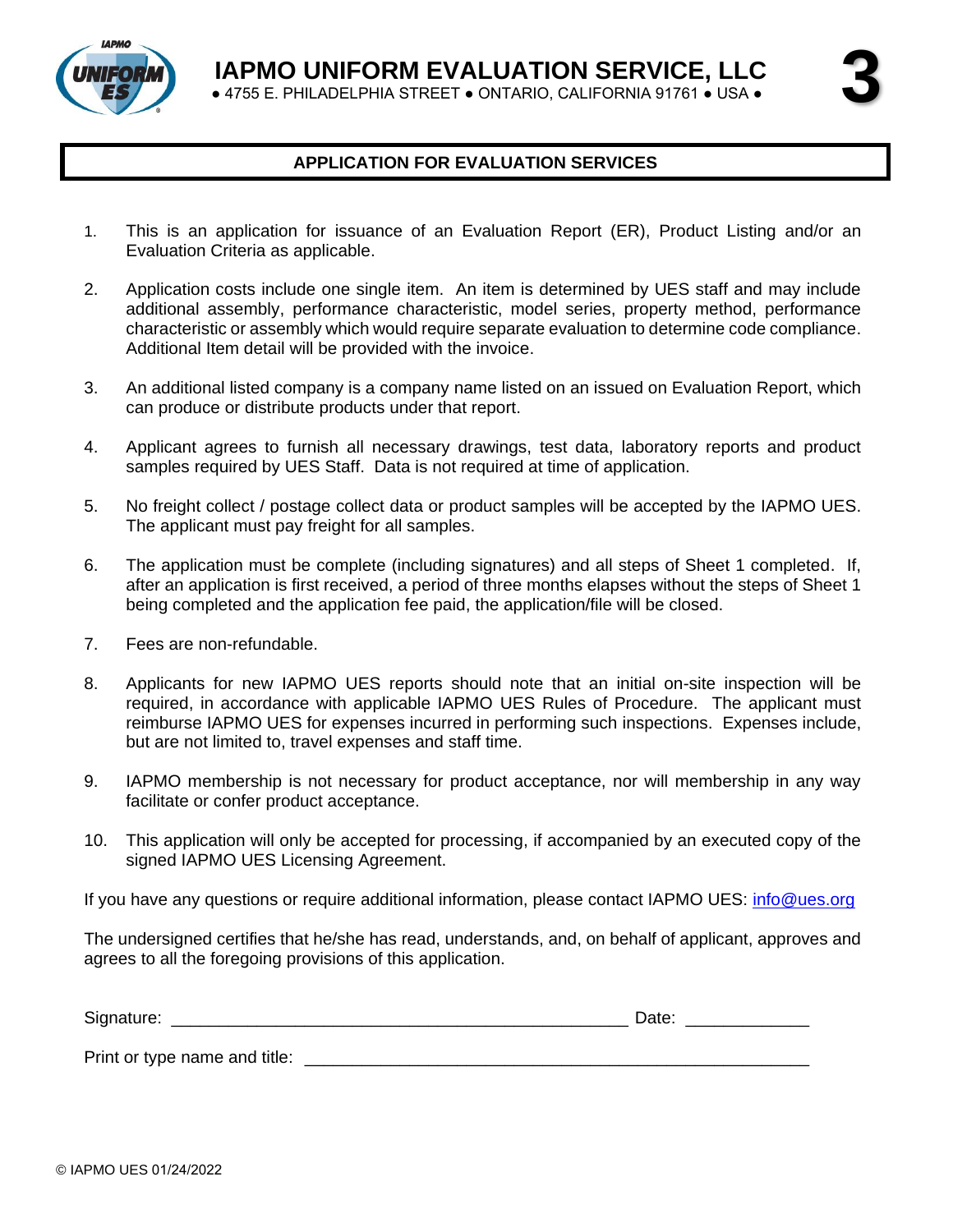**3**

● 4755 E. PHILADELPHIA STREET ● ONTARIO, CALIFORNIA 91761 ● USA ●



## **APPLICATION FOR EVALUATION SERVICES**

- 1. This is an application for issuance of an Evaluation Report (ER), Product Listing and/or an Evaluation Criteria as applicable.
- 2. Application costs include one single item. An item is determined by UES staff and may include additional assembly, performance characteristic, model series, property method, performance characteristic or assembly which would require separate evaluation to determine code compliance. Additional Item detail will be provided with the invoice.
- 3. An additional listed company is a company name listed on an issued on Evaluation Report, which can produce or distribute products under that report.
- 4. Applicant agrees to furnish all necessary drawings, test data, laboratory reports and product samples required by UES Staff. Data is not required at time of application.
- 5. No freight collect / postage collect data or product samples will be accepted by the IAPMO UES. The applicant must pay freight for all samples.
- 6. The application must be complete (including signatures) and all steps of Sheet 1 completed. If, after an application is first received, a period of three months elapses without the steps of Sheet 1 being completed and the application fee paid, the application/file will be closed.
- 7. Fees are non-refundable.
- 8. Applicants for new IAPMO UES reports should note that an initial on-site inspection will be required, in accordance with applicable IAPMO UES Rules of Procedure. The applicant must reimburse IAPMO UES for expenses incurred in performing such inspections. Expenses include, but are not limited to, travel expenses and staff time.
- 9. IAPMO membership is not necessary for product acceptance, nor will membership in any way facilitate or confer product acceptance.
- 10. This application will only be accepted for processing, if accompanied by an executed copy of the signed IAPMO UES Licensing Agreement.

If you have any questions or require additional information, please contact IAPMO UES: [info@ues.org](mailto:info@ues.org)

The undersigned certifies that he/she has read, understands, and, on behalf of applicant, approves and agrees to all the foregoing provisions of this application.

| Signature:<br>_____ | - س<br>ื้∼∝<br>______ |
|---------------------|-----------------------|
|                     |                       |

Print or type name and title:  $\blacksquare$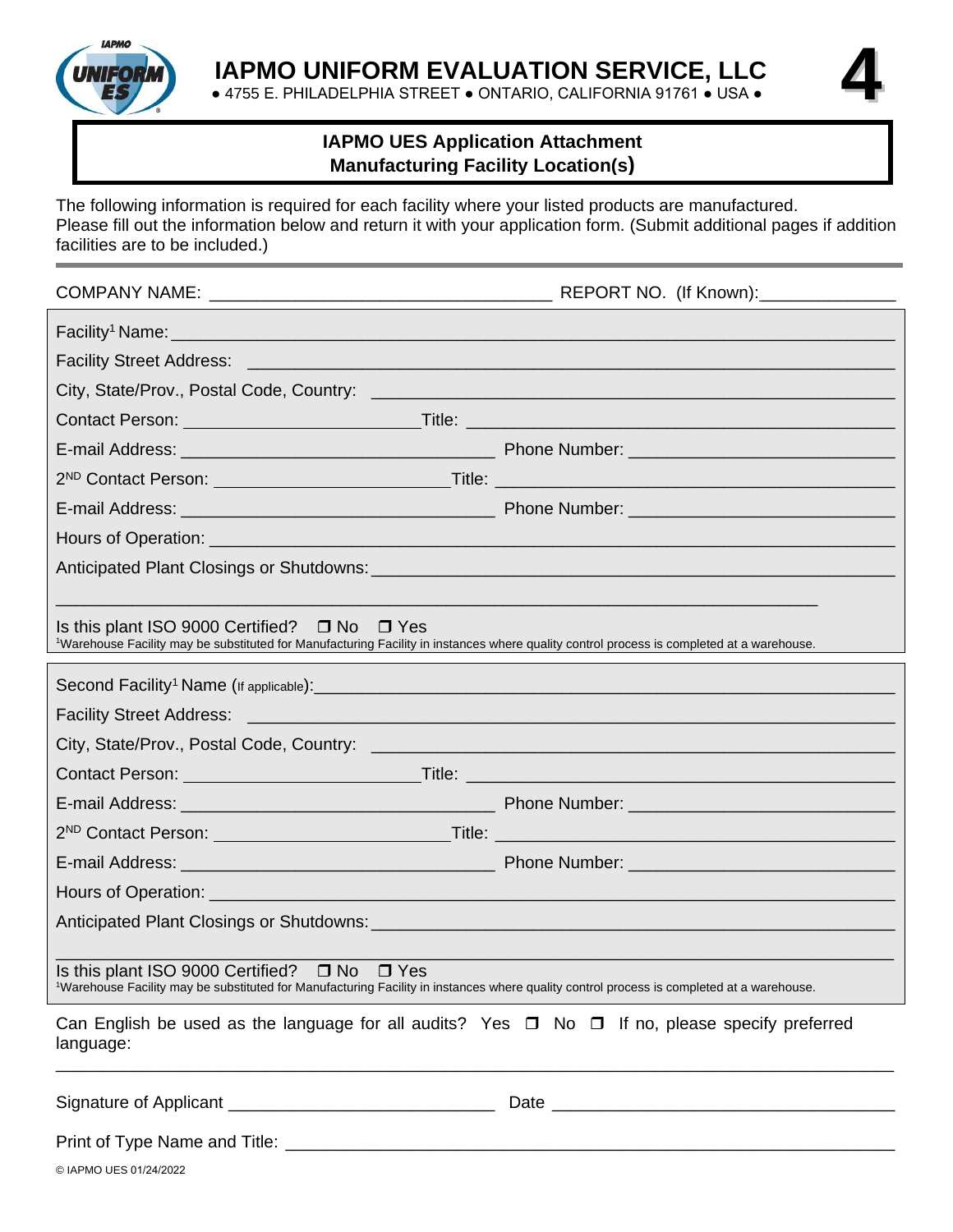

● 4755 E. PHILADELPHIA STREET ● ONTARIO, CALIFORNIA 91761 ● USA ●

**4**

## **IAPMO UES Application Attachment Manufacturing Facility Location(s)**

The following information is required for each facility where your listed products are manufactured. Please fill out the information below and return it with your application form. (Submit additional pages if addition facilities are to be included.)

|                                                                                                                                                                                                                                      | REPORT NO. (If Known): |  |  |  |  |  |  |
|--------------------------------------------------------------------------------------------------------------------------------------------------------------------------------------------------------------------------------------|------------------------|--|--|--|--|--|--|
|                                                                                                                                                                                                                                      |                        |  |  |  |  |  |  |
| Facility Street Address: [1982] [2012] [2013] [2013] [2013] [2014] [2014] [2014] [2014] [2014] [2014] [2014] [                                                                                                                       |                        |  |  |  |  |  |  |
|                                                                                                                                                                                                                                      |                        |  |  |  |  |  |  |
| Contact Person: <u>New York: New York: New York: New York: New York: New York: New York: New York: New York: New York: New York: New York: New York: New York: New York: New York: New York: New York: New York: New York: New Y</u> |                        |  |  |  |  |  |  |
|                                                                                                                                                                                                                                      |                        |  |  |  |  |  |  |
| 2 <sup>ND</sup> Contact Person: <u>Contact Person</u> 2012. Contact Person: Contact Person: 2012.                                                                                                                                    |                        |  |  |  |  |  |  |
|                                                                                                                                                                                                                                      |                        |  |  |  |  |  |  |
|                                                                                                                                                                                                                                      |                        |  |  |  |  |  |  |
|                                                                                                                                                                                                                                      |                        |  |  |  |  |  |  |
|                                                                                                                                                                                                                                      |                        |  |  |  |  |  |  |
| Is this plant ISO 9000 Certified? $\Box$ No $\Box$ Yes<br>1Warehouse Facility may be substituted for Manufacturing Facility in instances where quality control process is completed at a warehouse.                                  |                        |  |  |  |  |  |  |
|                                                                                                                                                                                                                                      |                        |  |  |  |  |  |  |
| <b>Facility Street Address:</b><br><u> 1980 - Jan Sterling Sterling Sterling Sterling Sterling Sterling Sterling Sterling Sterling Sterling Sterling</u>                                                                             |                        |  |  |  |  |  |  |
|                                                                                                                                                                                                                                      |                        |  |  |  |  |  |  |
| Contact Person: <u>New York: New York: New York: New York: New York: New York: New York: New York: New York: New York: New York: New York: New York: New York: New York: New York: New York: New York: New York: New York: New Y</u> |                        |  |  |  |  |  |  |
|                                                                                                                                                                                                                                      |                        |  |  |  |  |  |  |
|                                                                                                                                                                                                                                      |                        |  |  |  |  |  |  |
|                                                                                                                                                                                                                                      |                        |  |  |  |  |  |  |
|                                                                                                                                                                                                                                      |                        |  |  |  |  |  |  |
|                                                                                                                                                                                                                                      |                        |  |  |  |  |  |  |
| Is this plant ISO 9000 Certified?<br>$\square$ No<br>$\Box$ Yes<br>1Warehouse Facility may be substituted for Manufacturing Facility in instances where quality control process is completed at a warehouse.                         |                        |  |  |  |  |  |  |
| Can English be used as the language for all audits? Yes $\Box$ No $\Box$ If no, please specify preferred<br>language:                                                                                                                |                        |  |  |  |  |  |  |
| Signature of Applicant ___________________________________                                                                                                                                                                           |                        |  |  |  |  |  |  |
|                                                                                                                                                                                                                                      |                        |  |  |  |  |  |  |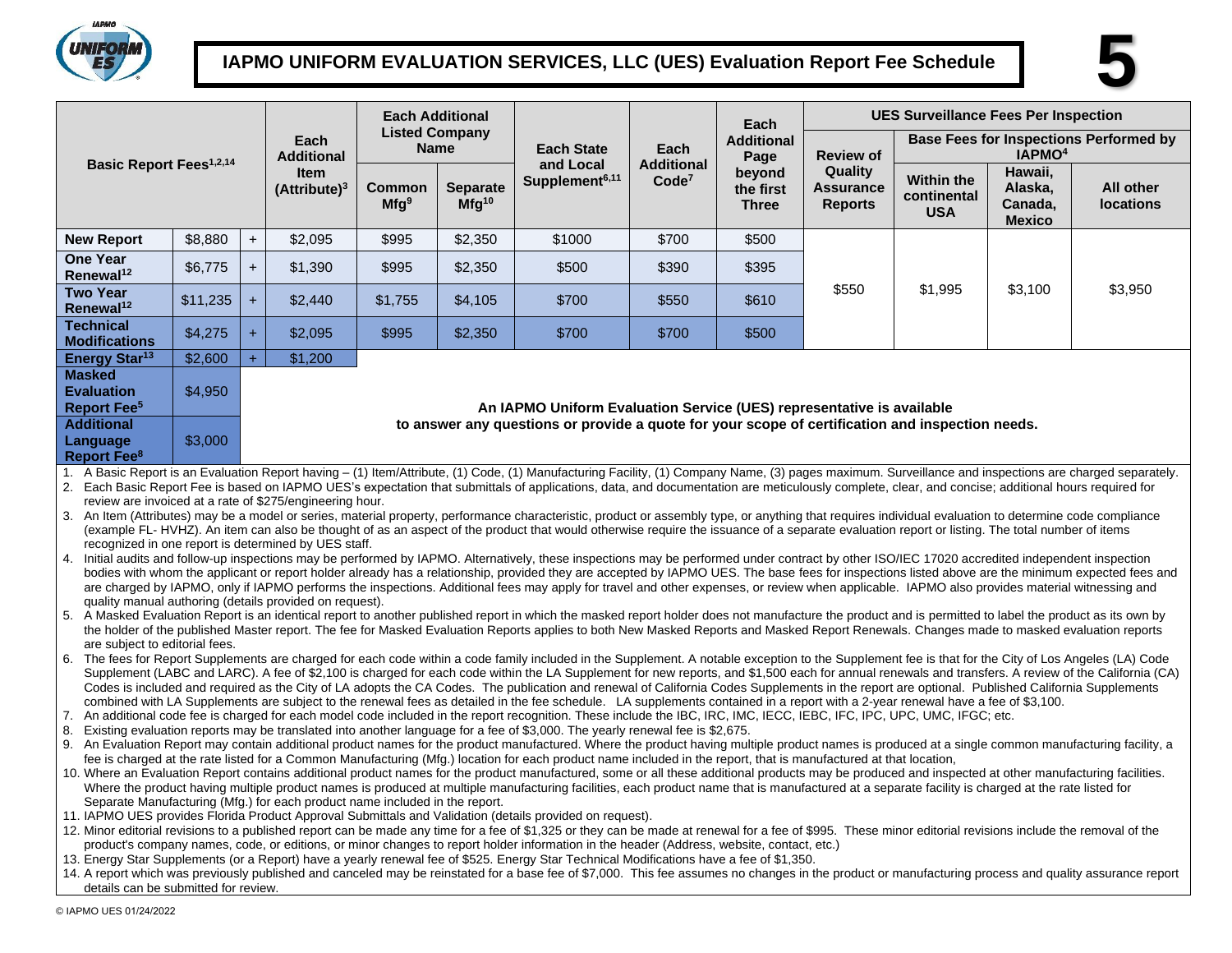

# **IAPMO UNIFORM EVALUATION SERVICES, LLC (UES) Evaluation Report Fee Schedule 5**



|                                                                                                                                                                                                                                                                                                                                                                                                                                                                                                                                                                                                                                                                                                                                                                                                                                                                                                                                                                                                                                                                                                                                                                                                                                                                                                                                                                                                                                                                                                                                                                                                                                                                                                                                                                                                                                                                                                                                                                                                                                                                                                                                                                                                                                                                                                                                                                                                                                                                                                                                                                                                                                                                                                                                                                                                                                                                                                                                                                                                                                                                                                                                                                                                                                                                                                                                                                                                                                                                                                                                                                                                                                                                                                                                                                                                                                                                                                                                                                                                                                                                                                                                                                                                                                                                                                                                                                                                                                                                                                                                                                                                                                                                                                                                                                                                                                                                                        |                                                                                  |                                      |                                    | <b>Each Additional</b>     |                               |                                                                                                  |                                                                                         | Each                                | <b>UES Surveillance Fees Per Inspection</b>   |                                                |                                                |                               |
|----------------------------------------------------------------------------------------------------------------------------------------------------------------------------------------------------------------------------------------------------------------------------------------------------------------------------------------------------------------------------------------------------------------------------------------------------------------------------------------------------------------------------------------------------------------------------------------------------------------------------------------------------------------------------------------------------------------------------------------------------------------------------------------------------------------------------------------------------------------------------------------------------------------------------------------------------------------------------------------------------------------------------------------------------------------------------------------------------------------------------------------------------------------------------------------------------------------------------------------------------------------------------------------------------------------------------------------------------------------------------------------------------------------------------------------------------------------------------------------------------------------------------------------------------------------------------------------------------------------------------------------------------------------------------------------------------------------------------------------------------------------------------------------------------------------------------------------------------------------------------------------------------------------------------------------------------------------------------------------------------------------------------------------------------------------------------------------------------------------------------------------------------------------------------------------------------------------------------------------------------------------------------------------------------------------------------------------------------------------------------------------------------------------------------------------------------------------------------------------------------------------------------------------------------------------------------------------------------------------------------------------------------------------------------------------------------------------------------------------------------------------------------------------------------------------------------------------------------------------------------------------------------------------------------------------------------------------------------------------------------------------------------------------------------------------------------------------------------------------------------------------------------------------------------------------------------------------------------------------------------------------------------------------------------------------------------------------------------------------------------------------------------------------------------------------------------------------------------------------------------------------------------------------------------------------------------------------------------------------------------------------------------------------------------------------------------------------------------------------------------------------------------------------------------------------------------------------------------------------------------------------------------------------------------------------------------------------------------------------------------------------------------------------------------------------------------------------------------------------------------------------------------------------------------------------------------------------------------------------------------------------------------------------------------------------------------------------------------------------------------------------------------------------------------------------------------------------------------------------------------------------------------------------------------------------------------------------------------------------------------------------------------------------------------------------------------------------------------------------------------------------------------------------------------------------------------------------------------------------------------------------|----------------------------------------------------------------------------------|--------------------------------------|------------------------------------|----------------------------|-------------------------------|--------------------------------------------------------------------------------------------------|-----------------------------------------------------------------------------------------|-------------------------------------|-----------------------------------------------|------------------------------------------------|------------------------------------------------|-------------------------------|
|                                                                                                                                                                                                                                                                                                                                                                                                                                                                                                                                                                                                                                                                                                                                                                                                                                                                                                                                                                                                                                                                                                                                                                                                                                                                                                                                                                                                                                                                                                                                                                                                                                                                                                                                                                                                                                                                                                                                                                                                                                                                                                                                                                                                                                                                                                                                                                                                                                                                                                                                                                                                                                                                                                                                                                                                                                                                                                                                                                                                                                                                                                                                                                                                                                                                                                                                                                                                                                                                                                                                                                                                                                                                                                                                                                                                                                                                                                                                                                                                                                                                                                                                                                                                                                                                                                                                                                                                                                                                                                                                                                                                                                                                                                                                                                                                                                                                                        | Each<br><b>Additional</b>                                                        | <b>Listed Company</b><br><b>Name</b> |                                    | <b>Each State</b>          | Each                          | <b>Additional</b><br>Page                                                                        | <b>Base Fees for Inspections Performed by</b><br>IAPMO <sup>4</sup><br><b>Review of</b> |                                     |                                               |                                                |                                                |                               |
| <b>Basic Report Fees<sup>1,2,14</sup></b>                                                                                                                                                                                                                                                                                                                                                                                                                                                                                                                                                                                                                                                                                                                                                                                                                                                                                                                                                                                                                                                                                                                                                                                                                                                                                                                                                                                                                                                                                                                                                                                                                                                                                                                                                                                                                                                                                                                                                                                                                                                                                                                                                                                                                                                                                                                                                                                                                                                                                                                                                                                                                                                                                                                                                                                                                                                                                                                                                                                                                                                                                                                                                                                                                                                                                                                                                                                                                                                                                                                                                                                                                                                                                                                                                                                                                                                                                                                                                                                                                                                                                                                                                                                                                                                                                                                                                                                                                                                                                                                                                                                                                                                                                                                                                                                                                                              |                                                                                  |                                      | <b>Item</b><br>$(A$ ttribute $)^3$ | Common<br>Mfg <sup>9</sup> | <b>Separate</b><br>$Mfg^{10}$ | and Local<br>Supplement <sup>6,11</sup>                                                          | <b>Additional</b><br>Code <sup>7</sup>                                                  | beyond<br>the first<br><b>Three</b> | Quality<br><b>Assurance</b><br><b>Reports</b> | <b>Within the</b><br>continental<br><b>USA</b> | Hawaii,<br>Alaska,<br>Canada,<br><b>Mexico</b> | All other<br><b>locations</b> |
| <b>New Report</b>                                                                                                                                                                                                                                                                                                                                                                                                                                                                                                                                                                                                                                                                                                                                                                                                                                                                                                                                                                                                                                                                                                                                                                                                                                                                                                                                                                                                                                                                                                                                                                                                                                                                                                                                                                                                                                                                                                                                                                                                                                                                                                                                                                                                                                                                                                                                                                                                                                                                                                                                                                                                                                                                                                                                                                                                                                                                                                                                                                                                                                                                                                                                                                                                                                                                                                                                                                                                                                                                                                                                                                                                                                                                                                                                                                                                                                                                                                                                                                                                                                                                                                                                                                                                                                                                                                                                                                                                                                                                                                                                                                                                                                                                                                                                                                                                                                                                      | \$8,880                                                                          | $+$                                  | \$2,095                            | \$995                      | \$2,350                       | \$1000                                                                                           | \$700                                                                                   | \$500                               |                                               |                                                |                                                | \$3,950                       |
| <b>One Year</b><br>Renewal <sup>12</sup>                                                                                                                                                                                                                                                                                                                                                                                                                                                                                                                                                                                                                                                                                                                                                                                                                                                                                                                                                                                                                                                                                                                                                                                                                                                                                                                                                                                                                                                                                                                                                                                                                                                                                                                                                                                                                                                                                                                                                                                                                                                                                                                                                                                                                                                                                                                                                                                                                                                                                                                                                                                                                                                                                                                                                                                                                                                                                                                                                                                                                                                                                                                                                                                                                                                                                                                                                                                                                                                                                                                                                                                                                                                                                                                                                                                                                                                                                                                                                                                                                                                                                                                                                                                                                                                                                                                                                                                                                                                                                                                                                                                                                                                                                                                                                                                                                                               | \$6,775                                                                          | $+$                                  | \$1,390                            | \$995                      | \$2,350                       | \$500                                                                                            | \$390                                                                                   | \$395                               |                                               |                                                | \$3,100                                        |                               |
| <b>Two Year</b><br>Renewal <sup>12</sup>                                                                                                                                                                                                                                                                                                                                                                                                                                                                                                                                                                                                                                                                                                                                                                                                                                                                                                                                                                                                                                                                                                                                                                                                                                                                                                                                                                                                                                                                                                                                                                                                                                                                                                                                                                                                                                                                                                                                                                                                                                                                                                                                                                                                                                                                                                                                                                                                                                                                                                                                                                                                                                                                                                                                                                                                                                                                                                                                                                                                                                                                                                                                                                                                                                                                                                                                                                                                                                                                                                                                                                                                                                                                                                                                                                                                                                                                                                                                                                                                                                                                                                                                                                                                                                                                                                                                                                                                                                                                                                                                                                                                                                                                                                                                                                                                                                               | \$11,235                                                                         | $+$                                  | \$2,440                            | \$1,755                    | \$4,105                       | \$700                                                                                            | \$550                                                                                   | \$610                               | \$550                                         | \$1,995                                        |                                                |                               |
| <b>Technical</b><br><b>Modifications</b>                                                                                                                                                                                                                                                                                                                                                                                                                                                                                                                                                                                                                                                                                                                                                                                                                                                                                                                                                                                                                                                                                                                                                                                                                                                                                                                                                                                                                                                                                                                                                                                                                                                                                                                                                                                                                                                                                                                                                                                                                                                                                                                                                                                                                                                                                                                                                                                                                                                                                                                                                                                                                                                                                                                                                                                                                                                                                                                                                                                                                                                                                                                                                                                                                                                                                                                                                                                                                                                                                                                                                                                                                                                                                                                                                                                                                                                                                                                                                                                                                                                                                                                                                                                                                                                                                                                                                                                                                                                                                                                                                                                                                                                                                                                                                                                                                                               | \$4,275                                                                          | $+$                                  | \$2,095                            | \$995                      | \$2,350                       | \$700                                                                                            | \$700                                                                                   | \$500                               |                                               |                                                |                                                |                               |
| Energy Star <sup>13</sup>                                                                                                                                                                                                                                                                                                                                                                                                                                                                                                                                                                                                                                                                                                                                                                                                                                                                                                                                                                                                                                                                                                                                                                                                                                                                                                                                                                                                                                                                                                                                                                                                                                                                                                                                                                                                                                                                                                                                                                                                                                                                                                                                                                                                                                                                                                                                                                                                                                                                                                                                                                                                                                                                                                                                                                                                                                                                                                                                                                                                                                                                                                                                                                                                                                                                                                                                                                                                                                                                                                                                                                                                                                                                                                                                                                                                                                                                                                                                                                                                                                                                                                                                                                                                                                                                                                                                                                                                                                                                                                                                                                                                                                                                                                                                                                                                                                                              | \$2,600                                                                          | $+$                                  | \$1,200                            |                            |                               |                                                                                                  |                                                                                         |                                     |                                               |                                                |                                                |                               |
| <b>Masked</b><br><b>Evaluation</b><br><b>Report Fee<sup>5</sup></b>                                                                                                                                                                                                                                                                                                                                                                                                                                                                                                                                                                                                                                                                                                                                                                                                                                                                                                                                                                                                                                                                                                                                                                                                                                                                                                                                                                                                                                                                                                                                                                                                                                                                                                                                                                                                                                                                                                                                                                                                                                                                                                                                                                                                                                                                                                                                                                                                                                                                                                                                                                                                                                                                                                                                                                                                                                                                                                                                                                                                                                                                                                                                                                                                                                                                                                                                                                                                                                                                                                                                                                                                                                                                                                                                                                                                                                                                                                                                                                                                                                                                                                                                                                                                                                                                                                                                                                                                                                                                                                                                                                                                                                                                                                                                                                                                                    | \$4,950<br>An IAPMO Uniform Evaluation Service (UES) representative is available |                                      |                                    |                            |                               |                                                                                                  |                                                                                         |                                     |                                               |                                                |                                                |                               |
| <b>Additional</b><br>Language<br>Report Fee <sup>8</sup>                                                                                                                                                                                                                                                                                                                                                                                                                                                                                                                                                                                                                                                                                                                                                                                                                                                                                                                                                                                                                                                                                                                                                                                                                                                                                                                                                                                                                                                                                                                                                                                                                                                                                                                                                                                                                                                                                                                                                                                                                                                                                                                                                                                                                                                                                                                                                                                                                                                                                                                                                                                                                                                                                                                                                                                                                                                                                                                                                                                                                                                                                                                                                                                                                                                                                                                                                                                                                                                                                                                                                                                                                                                                                                                                                                                                                                                                                                                                                                                                                                                                                                                                                                                                                                                                                                                                                                                                                                                                                                                                                                                                                                                                                                                                                                                                                               | \$3,000                                                                          |                                      |                                    |                            |                               | to answer any questions or provide a quote for your scope of certification and inspection needs. |                                                                                         |                                     |                                               |                                                |                                                |                               |
| 1. A Basic Report is an Evaluation Report having - (1) Item/Attribute, (1) Code, (1) Manufacturing Facility, (1) Company Name, (3) pages maximum. Surveillance and inspections are charged separately.<br>2. Each Basic Report Fee is based on IAPMO UES's expectation that submittals of applications, data, and documentation are meticulously complete, clear, and concise; additional hours required for<br>review are invoiced at a rate of \$275/engineering hour.<br>3. An Item (Attributes) may be a model or series, material property, performance characteristic, product or assembly type, or anything that requires individual evaluation to determine code compliance<br>(example FL-HVHZ). An item can also be thought of as an aspect of the product that would otherwise require the issuance of a separate evaluation report or listing. The total number of items<br>recognized in one report is determined by UES staff.<br>4. Initial audits and follow-up inspections may be performed by IAPMO. Alternatively, these inspections may be performed under contract by other ISO/IEC 17020 accredited independent inspection<br>bodies with whom the applicant or report holder already has a relationship, provided they are accepted by IAPMO UES. The base fees for inspections listed above are the minimum expected fees and<br>are charged by IAPMO, only if IAPMO performs the inspections. Additional fees may apply for travel and other expenses, or review when applicable. IAPMO also provides material witnessing and<br>quality manual authoring (details provided on request).<br>5. A Masked Evaluation Report is an identical report to another published report in which the masked report holder does not manufacture the product and is permitted to label the product as its own by<br>the holder of the published Master report. The fee for Masked Evaluation Reports applies to both New Masked Reports and Masked Report Renewals. Changes made to masked evaluation reports<br>are subject to editorial fees.<br>6. The fees for Report Supplements are charged for each code within a code family included in the Supplement. A notable exception to the Supplement fee is that for the City of Los Angeles (LA) Code<br>Supplement (LABC and LARC). A fee of \$2,100 is charged for each code within the LA Supplement for new reports, and \$1,500 each for annual renewals and transfers. A review of the California (CA)<br>Codes is included and required as the City of LA adopts the CA Codes. The publication and renewal of California Codes Supplements in the report are optional. Published California Supplements<br>combined with LA Supplements are subject to the renewal fees as detailed in the fee schedule. LA supplements contained in a report with a 2-year renewal have a fee of \$3,100.<br>7. An additional code fee is charged for each model code included in the report recognition. These include the IBC, IRC, IMC, IECC, IEBC, IFC, IPC, UPC, UMC, IFGC; etc.<br>8. Existing evaluation reports may be translated into another language for a fee of \$3,000. The yearly renewal fee is \$2,675.<br>9. An Evaluation Report may contain additional product names for the product manufactured. Where the product having multiple product names is produced at a single common manufacturing facility, a<br>fee is charged at the rate listed for a Common Manufacturing (Mfg.) location for each product name included in the report, that is manufactured at that location,<br>10. Where an Evaluation Report contains additional product names for the product manufactured, some or all these additional products may be produced and inspected at other manufacturing facilities.<br>Where the product having multiple product names is produced at multiple manufacturing facilities, each product name that is manufactured at a separate facility is charged at the rate listed for<br>Separate Manufacturing (Mfg.) for each product name included in the report.<br>11. IAPMO UES provides Florida Product Approval Submittals and Validation (details provided on request).<br>12. Minor editorial revisions to a published report can be made any time for a fee of \$1,325 or they can be made at renewal for a fee of \$995. These minor editorial revisions include the removal of the<br>product's company names, code, or editions, or minor changes to report holder information in the header (Address, website, contact, etc.)<br>13. Energy Star Supplements (or a Report) have a yearly renewal fee of \$525. Energy Star Technical Modifications have a fee of \$1,350.<br>14. A report which was previously published and canceled may be reinstated for a base fee of \$7,000. This fee assumes no changes in the product or manufacturing process and quality assurance report |                                                                                  |                                      |                                    |                            |                               |                                                                                                  |                                                                                         |                                     |                                               |                                                |                                                |                               |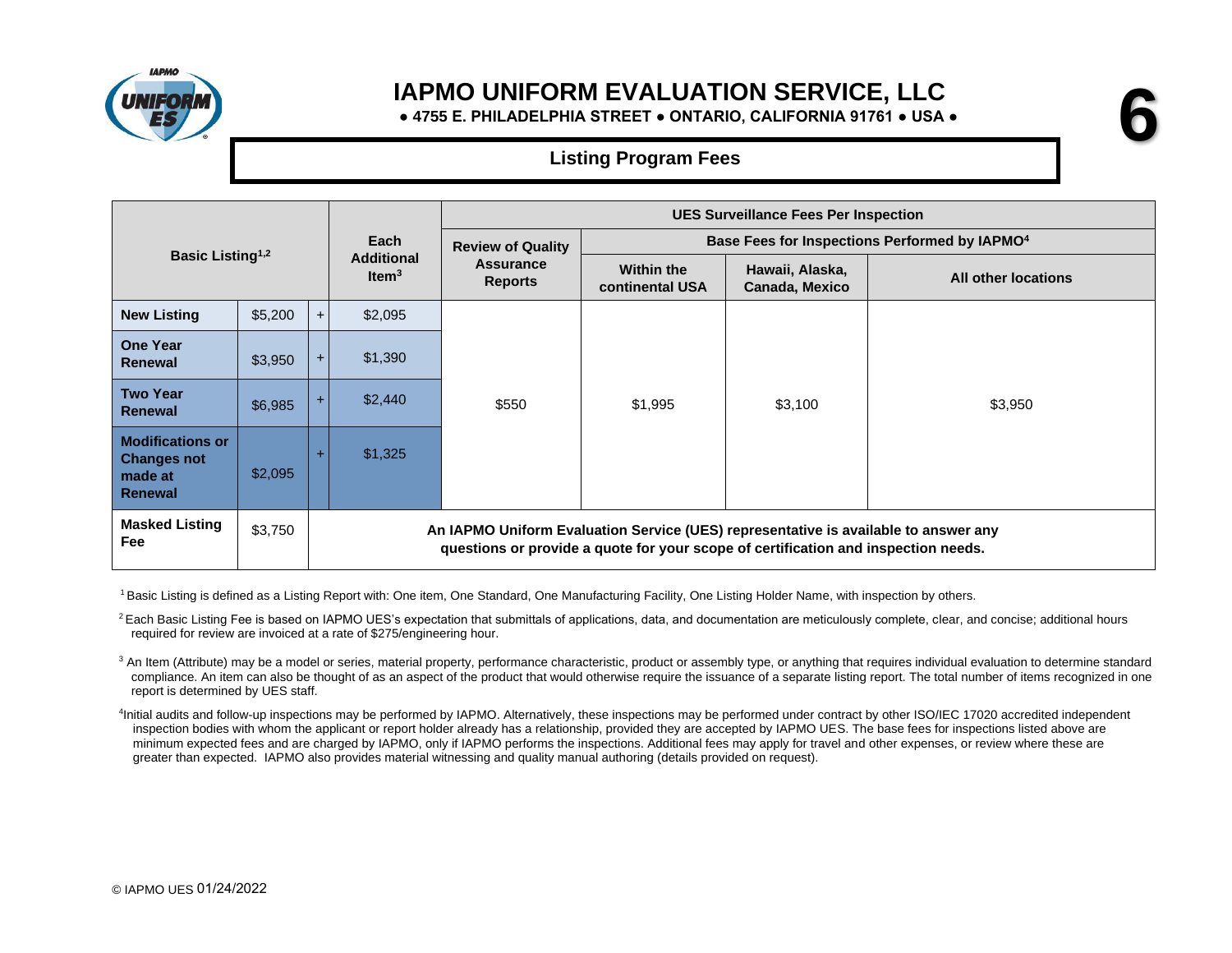

**● 4755 E. PHILADELPHIA STREET ● ONTARIO, CALIFORNIA 91761 ● USA ●**

**6**

## **Listing Program Fees**

|                                                                            |         |                                                                                                                                                                           |                               | <b>UES Surveillance Fees Per Inspection</b> |                                                           |                                   |                     |  |  |
|----------------------------------------------------------------------------|---------|---------------------------------------------------------------------------------------------------------------------------------------------------------------------------|-------------------------------|---------------------------------------------|-----------------------------------------------------------|-----------------------------------|---------------------|--|--|
|                                                                            |         |                                                                                                                                                                           | Each                          | <b>Review of Quality</b>                    | Base Fees for Inspections Performed by IAPMO <sup>4</sup> |                                   |                     |  |  |
| Basic Listing <sup>1,2</sup>                                               |         |                                                                                                                                                                           | <b>Additional</b><br>Item $3$ | <b>Assurance</b><br><b>Reports</b>          | <b>Within the</b><br><b>continental USA</b>               | Hawaii, Alaska,<br>Canada, Mexico | All other locations |  |  |
| <b>New Listing</b>                                                         | \$5,200 | $+$                                                                                                                                                                       | \$2,095                       |                                             | \$1,995                                                   | \$3,100                           |                     |  |  |
| <b>One Year</b><br><b>Renewal</b>                                          | \$3,950 | $+$                                                                                                                                                                       | \$1,390                       |                                             |                                                           |                                   |                     |  |  |
| <b>Two Year</b><br>Renewal                                                 | \$6,985 |                                                                                                                                                                           | \$2,440                       | \$550                                       |                                                           |                                   | \$3,950             |  |  |
| <b>Modifications or</b><br><b>Changes not</b><br>made at<br><b>Renewal</b> | \$2,095 |                                                                                                                                                                           | \$1,325                       |                                             |                                                           |                                   |                     |  |  |
| <b>Masked Listing</b><br>Fee                                               | \$3,750 | An IAPMO Uniform Evaluation Service (UES) representative is available to answer any<br>questions or provide a quote for your scope of certification and inspection needs. |                               |                                             |                                                           |                                   |                     |  |  |

<sup>1</sup> Basic Listing is defined as a Listing Report with: One item, One Standard, One Manufacturing Facility, One Listing Holder Name, with inspection by others.

<sup>2</sup> Each Basic Listing Fee is based on IAPMO UES's expectation that submittals of applications, data, and documentation are meticulously complete, clear, and concise; additional hours required for review are invoiced at a rate of \$275/engineering hour.

<sup>3</sup> An Item (Attribute) may be a model or series, material property, performance characteristic, product or assembly type, or anything that requires individual evaluation to determine standard compliance. An item can also be thought of as an aspect of the product that would otherwise require the issuance of a separate listing report. The total number of items recognized in one report is determined by UES staff.

4 Initial audits and follow-up inspections may be performed by IAPMO. Alternatively, these inspections may be performed under contract by other ISO/IEC 17020 accredited independent inspection bodies with whom the applicant or report holder already has a relationship, provided they are accepted by IAPMO UES. The base fees for inspections listed above are minimum expected fees and are charged by IAPMO, only if IAPMO performs the inspections. Additional fees may apply for travel and other expenses, or review where these are greater than expected. IAPMO also provides material witnessing and quality manual authoring (details provided on request).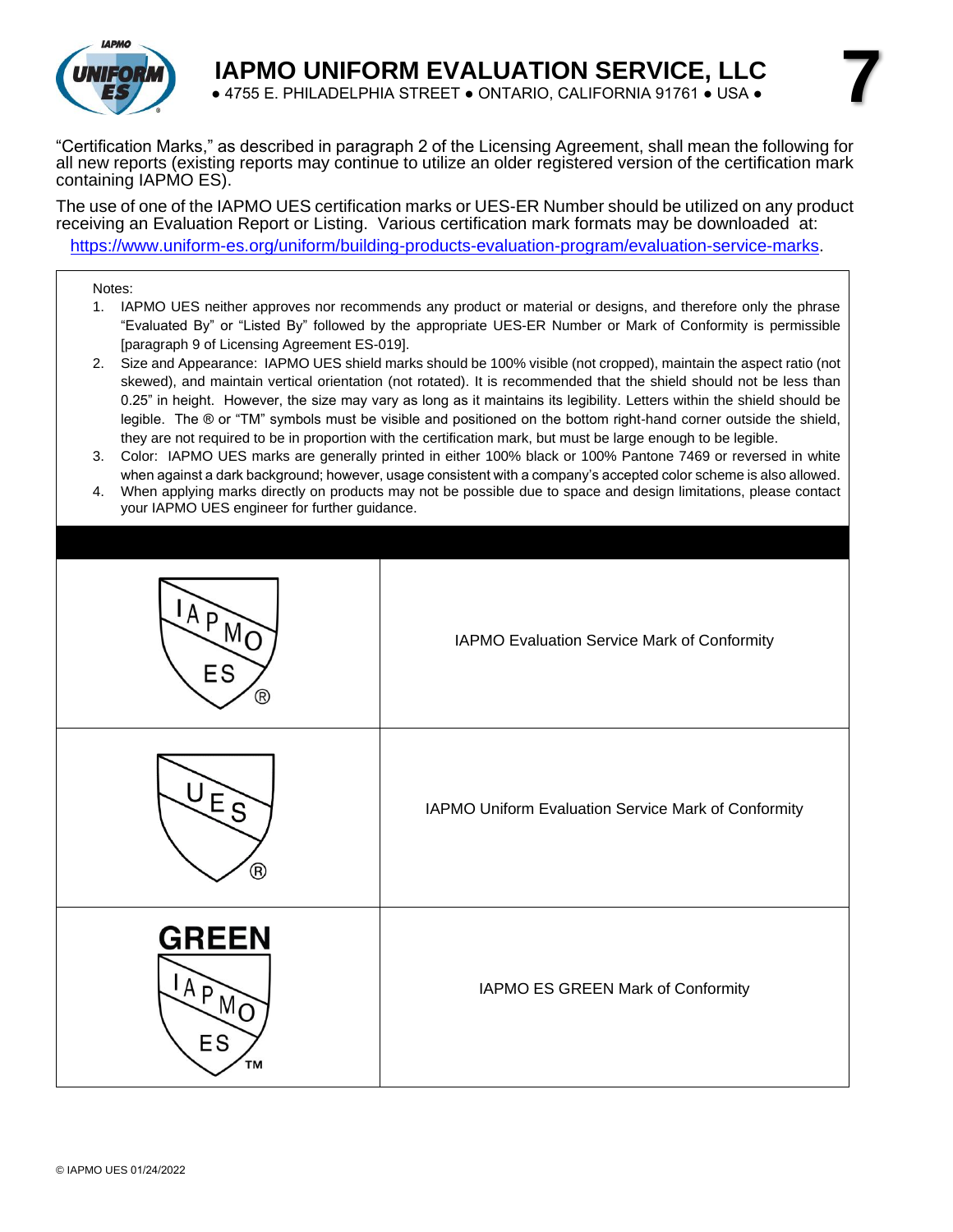

"Certification Marks," as described in paragraph 2 of the Licensing Agreement, shall mean the following for all new reports (existing reports may continue to utilize an older registered version of the certification mark containing IAPMO ES).

The use of one of the IAPMO UES certification marks or UES-ER Number should be utilized on any product receiving an Evaluation Report or Listing. Various certification mark formats may be downloaded at: [https://www.uniform-es.org/uniform/building-products-evaluation-program/evaluation-service-marks.](https://www.uniform-es.org/uniform/building-products-evaluation-program/evaluation-service-marks)

#### Notes:

- 1. IAPMO UES neither approves nor recommends any product or material or designs, and therefore only the phrase "Evaluated By" or "Listed By" followed by the appropriate UES-ER Number or Mark of Conformity is permissible [paragraph 9 of Licensing Agreement ES-019].
- 2. Size and Appearance: IAPMO UES shield marks should be 100% visible (not cropped), maintain the aspect ratio (not skewed), and maintain vertical orientation (not rotated). It is recommended that the shield should not be less than 0.25" in height. However, the size may vary as long as it maintains its legibility. Letters within the shield should be legible. The ® or "TM" symbols must be visible and positioned on the bottom right-hand corner outside the shield, they are not required to be in proportion with the certification mark, but must be large enough to be legible.
- 3. Color: IAPMO UES marks are generally printed in either 100% black or 100% Pantone 7469 or reversed in white when against a dark background; however, usage consistent with a company's accepted color scheme is also allowed.
- 4. When applying marks directly on products may not be possible due to space and design limitations, please contact your IAPMO UES engineer for further guidance.

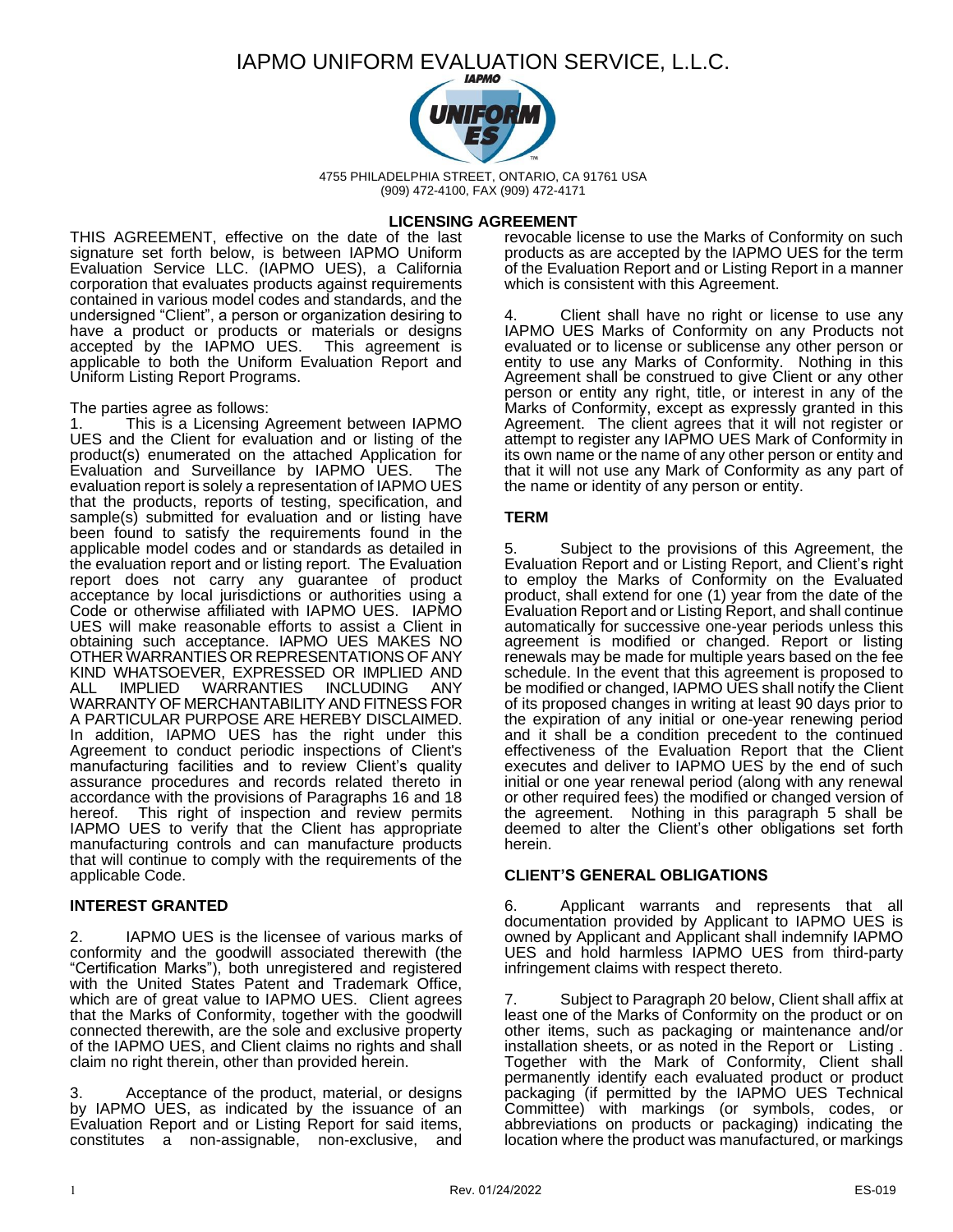

4755 PHILADELPHIA STREET, ONTARIO, CA 91761 USA (909) 472-4100, FAX (909) 472-4171

#### **LICENSING AGREEMENT**

THIS AGREEMENT, effective on the date of the last signature set forth below, is between IAPMO Uniform Evaluation Service LLC. (IAPMO UES), a California corporation that evaluates products against requirements contained in various model codes and standards, and the undersigned "Client", a person or organization desiring to have a product or products or materials or designs accepted by the IAPMO UES. This agreement is applicable to both the Uniform Evaluation Report and Uniform Listing Report Programs.

#### The parties agree as follows:

1. This is a Licensing Agreement between IAPMO UES and the Client for evaluation and or listing of the product(s) enumerated on the attached Application for Evaluation and Surveillance by IAPMO UES. The evaluation report is solely a representation of IAPMO UES that the products, reports of testing, specification, and sample(s) submitted for evaluation and or listing have been found to satisfy the requirements found in the applicable model codes and or standards as detailed in the evaluation report and or listing report. The Evaluation report does not carry any guarantee of product acceptance by local jurisdictions or authorities using a Code or otherwise affiliated with IAPMO UES. IAPMO UES will make reasonable efforts to assist a Client in obtaining such acceptance. IAPMO UES MAKES NO OTHER WARRANTIES OR REPRESENTATIONS OF ANY KIND WHATSOEVER, EXPRESSED OR IMPLIED AND ALL IMPLIED WARRANTIES INCLUDING ANY WARRANTY OF MERCHANTABILITY AND FITNESS FOR A PARTICULAR PURPOSE ARE HEREBY DISCLAIMED. In addition, IAPMO UES has the right under this Agreement to conduct periodic inspections of Client's manufacturing facilities and to review Client's quality assurance procedures and records related thereto in accordance with the provisions of Paragraphs 16 and 18 hereof. This right of inspection and review permits IAPMO UES to verify that the Client has appropriate manufacturing controls and can manufacture products that will continue to comply with the requirements of the applicable Code.

#### **INTEREST GRANTED**

2. IAPMO UES is the licensee of various marks of conformity and the goodwill associated therewith (the "Certification Marks"), both unregistered and registered with the United States Patent and Trademark Office, which are of great value to IAPMO UES. Client agrees that the Marks of Conformity, together with the goodwill connected therewith, are the sole and exclusive property of the IAPMO UES, and Client claims no rights and shall claim no right therein, other than provided herein.

3. Acceptance of the product, material, or designs by IAPMO UES, as indicated by the issuance of an Evaluation Report and or Listing Report for said items, constitutes a non-assignable, non-exclusive, and

revocable license to use the Marks of Conformity on such products as are accepted by the IAPMO UES for the term of the Evaluation Report and or Listing Report in a manner which is consistent with this Agreement.

Client shall have no right or license to use any IAPMO UES Marks of Conformity on any Products not evaluated or to license or sublicense any other person or entity to use any Marks of Conformity. Nothing in this Agreement shall be construed to give Client or any other person or entity any right, title, or interest in any of the Marks of Conformity, except as expressly granted in this Agreement. The client agrees that it will not register or attempt to register any IAPMO UES Mark of Conformity in its own name or the name of any other person or entity and that it will not use any Mark of Conformity as any part of the name or identity of any person or entity.

#### **TERM**

Subject to the provisions of this Agreement, the Evaluation Report and or Listing Report, and Client's right to employ the Marks of Conformity on the Evaluated product, shall extend for one (1) year from the date of the Evaluation Report and or Listing Report, and shall continue automatically for successive one-year periods unless this agreement is modified or changed. Report or listing renewals may be made for multiple years based on the fee schedule. In the event that this agreement is proposed to be modified or changed, IAPMO UES shall notify the Client of its proposed changes in writing at least 90 days prior to the expiration of any initial or one-year renewing period and it shall be a condition precedent to the continued effectiveness of the Evaluation Report that the Client executes and deliver to IAPMO UES by the end of such initial or one year renewal period (along with any renewal or other required fees) the modified or changed version of the agreement. Nothing in this paragraph 5 shall be deemed to alter the Client's other obligations set forth herein.

#### **CLIENT'S GENERAL OBLIGATIONS**

6. Applicant warrants and represents that all documentation provided by Applicant to IAPMO UES is owned by Applicant and Applicant shall indemnify IAPMO UES and hold harmless IAPMO UES from third-party infringement claims with respect thereto.

7. Subject to Paragraph 20 below, Client shall affix at least one of the Marks of Conformity on the product or on other items, such as packaging or maintenance and/or installation sheets, or as noted in the Report or Listing . Together with the Mark of Conformity, Client shall permanently identify each evaluated product or product packaging (if permitted by the IAPMO UES Technical Committee) with markings (or symbols, codes, or abbreviations on products or packaging) indicating the location where the product was manufactured, or markings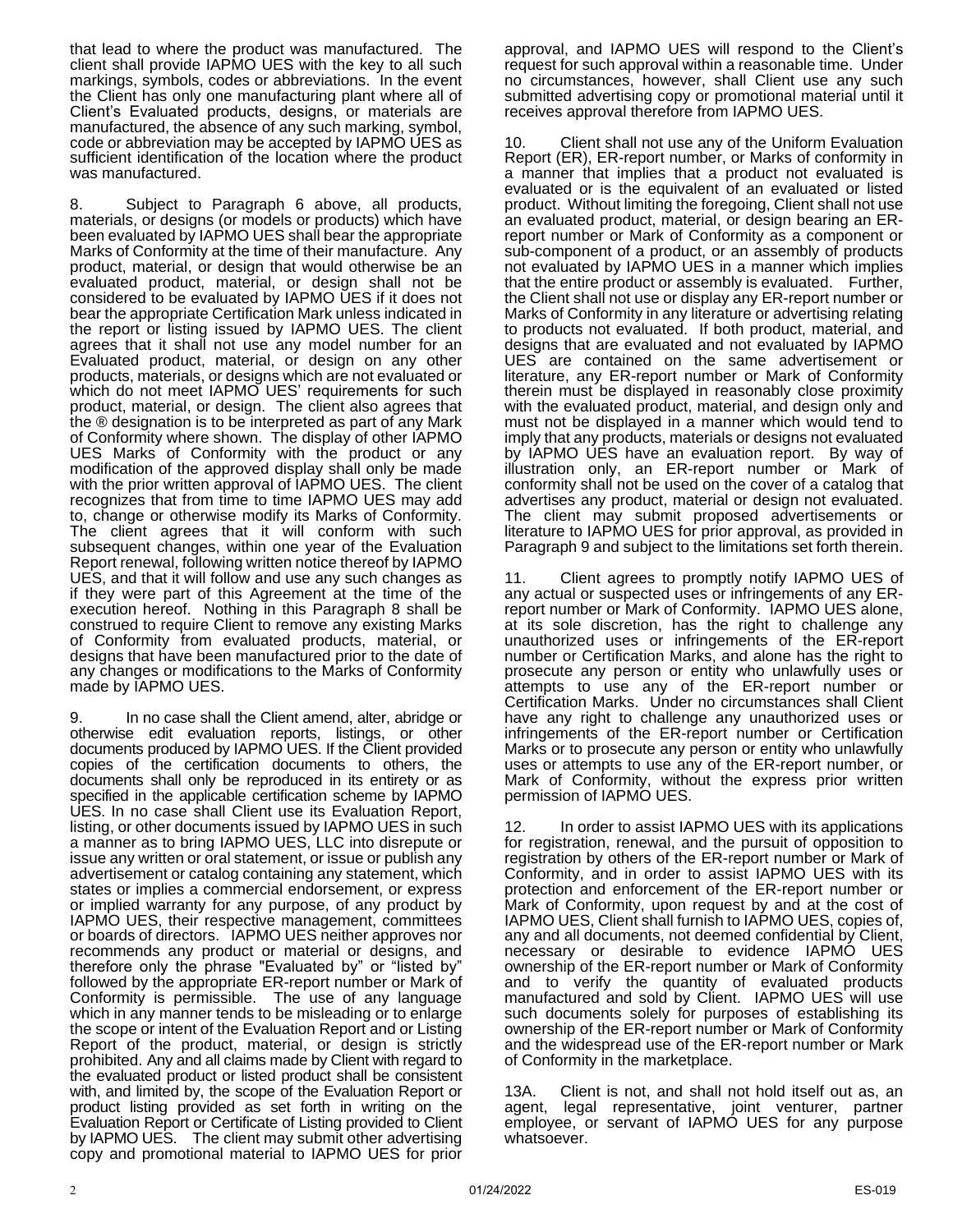that lead to where the product was manufactured. The client shall provide IAPMO UES with the key to all such markings, symbols, codes or abbreviations. In the event the Client has only one manufacturing plant where all of Client's Evaluated products, designs, or materials are manufactured, the absence of any such marking, symbol, code or abbreviation may be accepted by IAPMO UES as sufficient identification of the location where the product was manufactured.

8. Subject to Paragraph 6 above, all products, materials, or designs (or models or products) which have been evaluated by IAPMO UES shall bear the appropriate Marks of Conformity at the time of their manufacture. Any product, material, or design that would otherwise be an evaluated product, material, or design shall not be considered to be evaluated by IAPMO UES if it does not bear the appropriate Certification Mark unless indicated in the report or listing issued by IAPMO UES. The client agrees that it shall not use any model number for an Evaluated product, material, or design on any other products, materials, or designs which are not evaluated or which do not meet IAPMO UES' requirements for such product, material, or design. The client also agrees that the ® designation is to be interpreted as part of any Mark of Conformity where shown. The display of other IAPMO UES Marks of Conformity with the product or any modification of the approved display shall only be made with the prior written approval of IAPMO UES. The client recognizes that from time to time IAPMO UES may add to, change or otherwise modify its Marks of Conformity. The client agrees that it will conform with such subsequent changes, within one year of the Evaluation Report renewal, following written notice thereof by IAPMO UES, and that it will follow and use any such changes as if they were part of this Agreement at the time of the execution hereof. Nothing in this Paragraph 8 shall be construed to require Client to remove any existing Marks of Conformity from evaluated products, material, or designs that have been manufactured prior to the date of any changes or modifications to the Marks of Conformity made by IAPMO UES.

9. In no case shall the Client amend, alter, abridge or otherwise edit evaluation reports, listings, or other documents produced by IAPMO UES. If the Client provided copies of the certification documents to others, the documents shall only be reproduced in its entirety or as specified in the applicable certification scheme by IAPMO UES. In no case shall Client use its Evaluation Report, listing, or other documents issued by IAPMO UES in such a manner as to bring IAPMO UES, LLC into disrepute or issue any written or oral statement, or issue or publish any advertisement or catalog containing any statement, which states or implies a commercial endorsement, or express or implied warranty for any purpose, of any product by IAPMO UES, their respective management, committees or boards of directors. IAPMO UES neither approves nor recommends any product or material or designs, and therefore only the phrase "Evaluated by" or "listed by" followed by the appropriate ER-report number or Mark of Conformity is permissible. The use of any language which in any manner tends to be misleading or to enlarge the scope or intent of the Evaluation Report and or Listing Report of the product, material, or design is strictly prohibited. Any and all claims made by Client with regard to the evaluated product or listed product shall be consistent with, and limited by, the scope of the Evaluation Report or product listing provided as set forth in writing on the Evaluation Report or Certificate of Listing provided to Client by IAPMO UES.The client may submit other advertising copy and promotional material to IAPMO UES for prior

approval, and IAPMO UES will respond to the Client's request for such approval within a reasonable time. Under no circumstances, however, shall Client use any such submitted advertising copy or promotional material until it receives approval therefore from IAPMO UES.

10. Client shall not use any of the Uniform Evaluation Report (ER), ER-report number, or Marks of conformity in a manner that implies that a product not evaluated is evaluated or is the equivalent of an evaluated or listed product. Without limiting the foregoing, Client shall not use an evaluated product, material, or design bearing an ERreport number or Mark of Conformity as a component or sub-component of a product, or an assembly of products not evaluated by IAPMO UES in a manner which implies that the entire product or assembly is evaluated. Further, the Client shall not use or display any ER-report number or Marks of Conformity in any literature or advertising relating to products not evaluated. If both product, material, and designs that are evaluated and not evaluated by IAPMO UES are contained on the same advertisement or literature, any ER-report number or Mark of Conformity therein must be displayed in reasonably close proximity with the evaluated product, material, and design only and must not be displayed in a manner which would tend to imply that any products, materials or designs not evaluated by IAPMO UES have an evaluation report. By way of illustration only, an ER-report number or Mark of conformity shall not be used on the cover of a catalog that advertises any product, material or design not evaluated. The client may submit proposed advertisements or literature to IAPMO UES for prior approval, as provided in Paragraph 9 and subject to the limitations set forth therein.

11. Client agrees to promptly notify IAPMO UES of any actual or suspected uses or infringements of any ERreport number or Mark of Conformity. IAPMO UES alone, at its sole discretion, has the right to challenge any unauthorized uses or infringements of the ER-report number or Certification Marks, and alone has the right to prosecute any person or entity who unlawfully uses or attempts to use any of the ER-report number or Certification Marks. Under no circumstances shall Client have any right to challenge any unauthorized uses or infringements of the ER-report number or Certification Marks or to prosecute any person or entity who unlawfully uses or attempts to use any of the ER-report number, or Mark of Conformity, without the express prior written permission of IAPMO UES.

12. In order to assist IAPMO UES with its applications for registration, renewal, and the pursuit of opposition to registration by others of the ER-report number or Mark of Conformity, and in order to assist IAPMO UES with its protection and enforcement of the ER-report number or Mark of Conformity, upon request by and at the cost of IAPMO UES, Client shall furnish to IAPMO UES, copies of, any and all documents, not deemed confidential by Client, necessary or desirable to evidence IAPMO UES ownership of the ER-report number or Mark of Conformity and to verify the quantity of evaluated products manufactured and sold by Client. IAPMO UES will use such documents solely for purposes of establishing its ownership of the ER-report number or Mark of Conformity and the widespread use of the ER-report number or Mark of Conformity in the marketplace.

13A. Client is not, and shall not hold itself out as, an agent, legal representative, joint venturer, partner employee, or servant of IAPMO UES for any purpose whatsoever.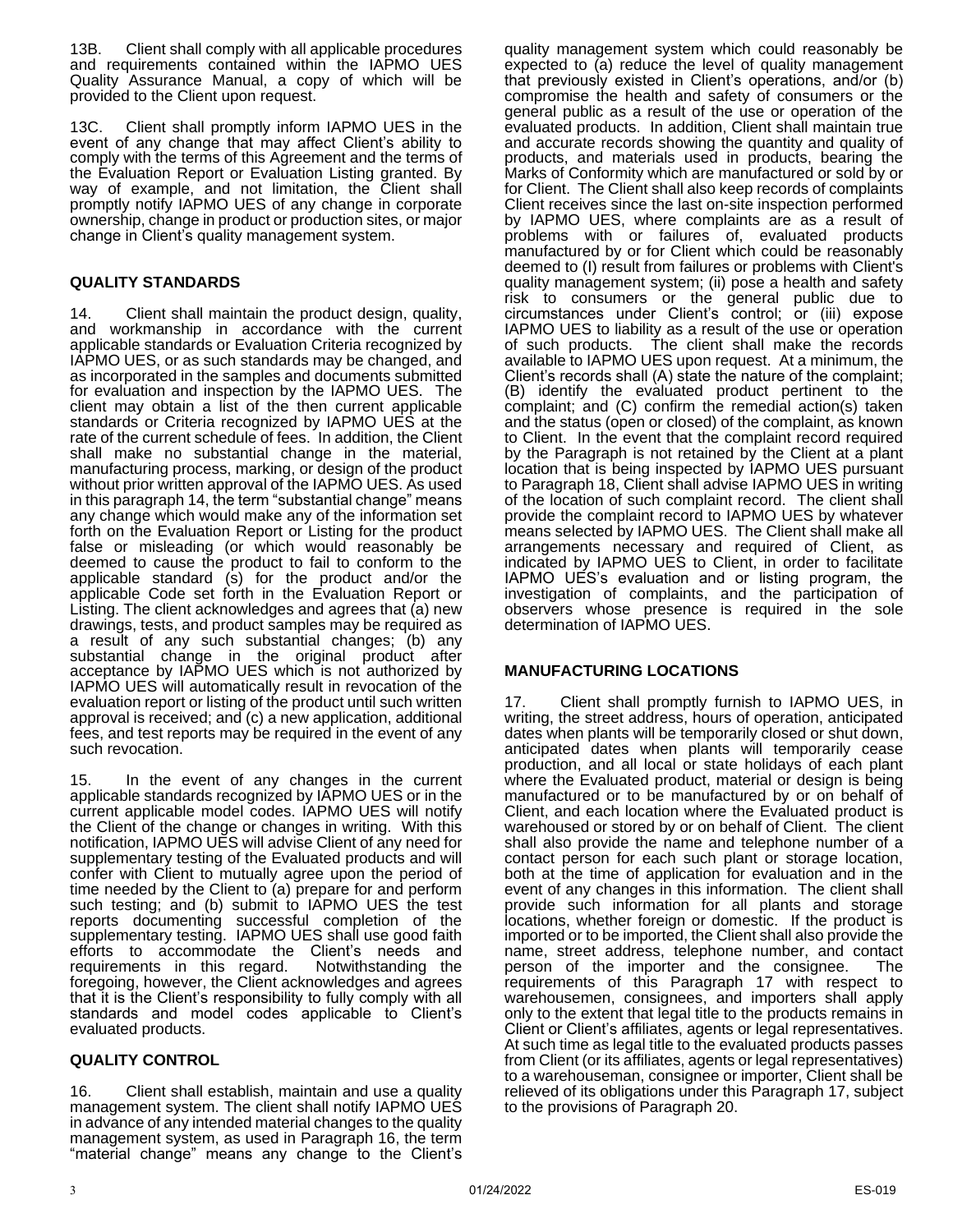13B. Client shall comply with all applicable procedures and requirements contained within the IAPMO UES Quality Assurance Manual, a copy of which will be provided to the Client upon request.

13C. Client shall promptly inform IAPMO UES in the event of any change that may affect Client's ability to comply with the terms of this Agreement and the terms of the Evaluation Report or Evaluation Listing granted. By way of example, and not limitation, the Client shall promptly notify IAPMO UES of any change in corporate ownership, change in product or production sites, or major change in Client's quality management system.

### **QUALITY STANDARDS**

14. Client shall maintain the product design, quality, and workmanship in accordance with the current applicable standards or Evaluation Criteria recognized by IAPMO UES, or as such standards may be changed, and as incorporated in the samples and documents submitted for evaluation and inspection by the IAPMO UES. The client may obtain a list of the then current applicable standards or Criteria recognized by IAPMO UES at the rate of the current schedule of fees. In addition, the Client shall make no substantial change in the material, manufacturing process, marking, or design of the product without prior written approval of the IAPMO UES. As used in this paragraph 14, the term "substantial change" means any change which would make any of the information set forth on the Evaluation Report or Listing for the product false or misleading (or which would reasonably be deemed to cause the product to fail to conform to the applicable standard (s) for the product and/or the applicable Code set forth in the Evaluation Report or Listing. The client acknowledges and agrees that (a) new drawings, tests, and product samples may be required as a result of any such substantial changes; (b) any substantial change in the original product after acceptance by IAPMO UES which is not authorized by IAPMO UES will automatically result in revocation of the evaluation report or listing of the product until such written approval is received; and (c) a new application, additional fees, and test reports may be required in the event of any such revocation.

15. In the event of any changes in the current applicable standards recognized by IAPMO UES or in the current applicable model codes. IAPMO UES will notify the Client of the change or changes in writing. With this notification, IAPMO UES will advise Client of any need for supplementary testing of the Evaluated products and will confer with Client to mutually agree upon the period of time needed by the Client to (a) prepare for and perform such testing; and (b) submit to IAPMO UES the test reports documenting successful completion of the supplementary testing. IAPMO UES shall use good faith efforts to accommodate the Client's needs and requirements in this regard. Notwithstanding the foregoing, however, the Client acknowledges and agrees that it is the Client's responsibility to fully comply with all standards and model codes applicable to Client's evaluated products.

#### **QUALITY CONTROL**

Client shall establish, maintain and use a quality management system. The client shall notify IAPMO UES in advance of any intended material changes to the quality management system, as used in Paragraph 16, the term "material change" means any change to the Client's

quality management system which could reasonably be expected to (a) reduce the level of quality management that previously existed in Client's operations, and/or (b) compromise the health and safety of consumers or the general public as a result of the use or operation of the evaluated products. In addition, Client shall maintain true and accurate records showing the quantity and quality of products, and materials used in products, bearing the Marks of Conformity which are manufactured or sold by or for Client. The Client shall also keep records of complaints Client receives since the last on-site inspection performed by IAPMO UES, where complaints are as a result of problems with or failures of, evaluated products manufactured by or for Client which could be reasonably deemed to (I) result from failures or problems with Client's quality management system; (ii) pose a health and safety risk to consumers or the general public due to circumstances under Client's control; or (iii) expose IAPMO UES to liability as a result of the use or operation of such products. The client shall make the records available to IAPMO UES upon request. At a minimum, the Client's records shall (A) state the nature of the complaint; (B) identify the evaluated product pertinent to the complaint; and (C) confirm the remedial action(s) taken and the status (open or closed) of the complaint, as known to Client. In the event that the complaint record required by the Paragraph is not retained by the Client at a plant location that is being inspected by IAPMO UES pursuant to Paragraph 18, Client shall advise IAPMO UES in writing of the location of such complaint record. The client shall provide the complaint record to IAPMO UES by whatever means selected by IAPMO UES. The Client shall make all arrangements necessary and required of Client, as indicated by IAPMO UES to Client, in order to facilitate IAPMO UES's evaluation and or listing program, the investigation of complaints, and the participation of observers whose presence is required in the sole determination of IAPMO UES.

#### **MANUFACTURING LOCATIONS**

17. Client shall promptly furnish to IAPMO UES, in writing, the street address, hours of operation, anticipated dates when plants will be temporarily closed or shut down, anticipated dates when plants will temporarily cease production, and all local or state holidays of each plant where the Evaluated product, material or design is being manufactured or to be manufactured by or on behalf of Client, and each location where the Evaluated product is warehoused or stored by or on behalf of Client. The client shall also provide the name and telephone number of a contact person for each such plant or storage location, both at the time of application for evaluation and in the event of any changes in this information. The client shall provide such information for all plants and storage locations, whether foreign or domestic. If the product is imported or to be imported, the Client shall also provide the name, street address, telephone number, and contact person of the importer and the consignee. The requirements of this Paragraph 17 with respect to warehousemen, consignees, and importers shall apply only to the extent that legal title to the products remains in Client or Client's affiliates, agents or legal representatives. At such time as legal title to the evaluated products passes from Client (or its affiliates, agents or legal representatives) to a warehouseman, consignee or importer, Client shall be relieved of its obligations under this Paragraph 17, subject to the provisions of Paragraph 20.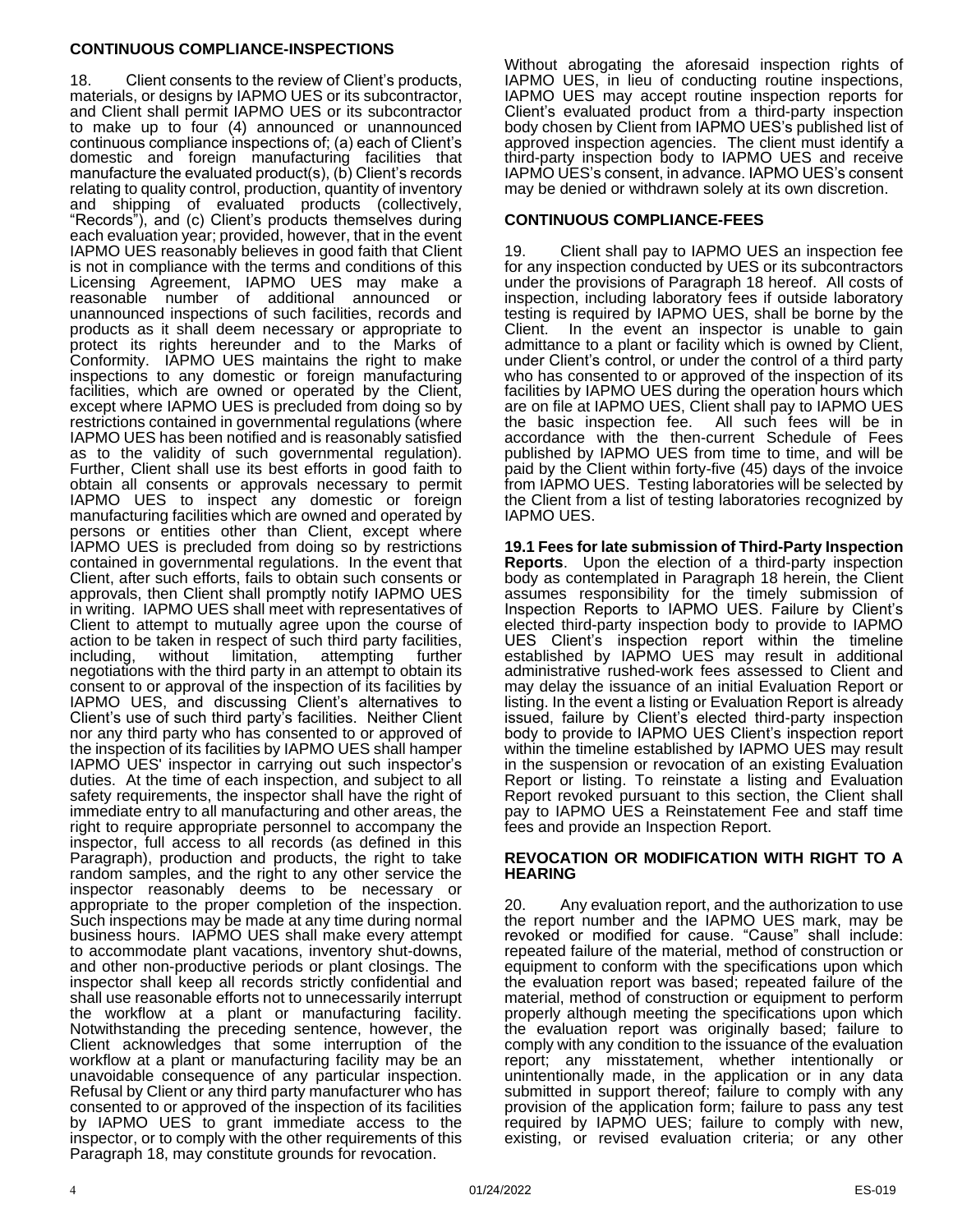#### **CONTINUOUS COMPLIANCE-INSPECTIONS**

18. Client consents to the review of Client's products, materials, or designs by IAPMO UES or its subcontractor, and Client shall permit IAPMO UES or its subcontractor to make up to four (4) announced or unannounced continuous compliance inspections of; (a) each of Client's domestic and foreign manufacturing facilities that manufacture the evaluated product(s), (b) Client's records relating to quality control, production, quantity of inventory and shipping of evaluated products (collectively, "Records"), and (c) Client's products themselves during each evaluation year; provided, however, that in the event IAPMO UES reasonably believes in good faith that Client is not in compliance with the terms and conditions of this Licensing Agreement, IAPMO UES may make a reasonable number of additional announced or unannounced inspections of such facilities, records and products as it shall deem necessary or appropriate to protect its rights hereunder and to the Marks of Conformity. IAPMO UES maintains the right to make inspections to any domestic or foreign manufacturing facilities, which are owned or operated by the Client, except where IAPMO UES is precluded from doing so by restrictions contained in governmental regulations (where IAPMO UES has been notified and is reasonably satisfied as to the validity of such governmental regulation). Further, Client shall use its best efforts in good faith to obtain all consents or approvals necessary to permit IAPMO UES to inspect any domestic or foreign manufacturing facilities which are owned and operated by persons or entities other than Client, except where IAPMO UES is precluded from doing so by restrictions contained in governmental regulations. In the event that Client, after such efforts, fails to obtain such consents or approvals, then Client shall promptly notify IAPMO UES in writing. IAPMO UES shall meet with representatives of Client to attempt to mutually agree upon the course of action to be taken in respect of such third party facilities, including, without limitation, attempting further negotiations with the third party in an attempt to obtain its consent to or approval of the inspection of its facilities by IAPMO UES, and discussing Client's alternatives to Client's use of such third party's facilities. Neither Client nor any third party who has consented to or approved of the inspection of its facilities by IAPMO UES shall hamper IAPMO UES' inspector in carrying out such inspector's duties. At the time of each inspection, and subject to all safety requirements, the inspector shall have the right of immediate entry to all manufacturing and other areas, the right to require appropriate personnel to accompany the inspector, full access to all records (as defined in this Paragraph), production and products, the right to take random samples, and the right to any other service the inspector reasonably deems to be necessary or appropriate to the proper completion of the inspection. Such inspections may be made at any time during normal business hours. IAPMO UES shall make every attempt to accommodate plant vacations, inventory shut-downs, and other non-productive periods or plant closings. The inspector shall keep all records strictly confidential and shall use reasonable efforts not to unnecessarily interrupt the workflow at a plant or manufacturing facility. Notwithstanding the preceding sentence, however, the Client acknowledges that some interruption of the workflow at a plant or manufacturing facility may be an unavoidable consequence of any particular inspection. Refusal by Client or any third party manufacturer who has consented to or approved of the inspection of its facilities by IAPMO UES to grant immediate access to the inspector, or to comply with the other requirements of this Paragraph 18, may constitute grounds for revocation.

Without abrogating the aforesaid inspection rights of IAPMO UES, in lieu of conducting routine inspections, IAPMO UES may accept routine inspection reports for Client's evaluated product from a third-party inspection body chosen by Client from IAPMO UES's published list of approved inspection agencies. The client must identify a third-party inspection body to IAPMO UES and receive IAPMO UES's consent, in advance. IAPMO UES's consent may be denied or withdrawn solely at its own discretion.

#### **CONTINUOUS COMPLIANCE-FEES**

19. Client shall pay to IAPMO UES an inspection fee for any inspection conducted by UES or its subcontractors under the provisions of Paragraph 18 hereof. All costs of inspection, including laboratory fees if outside laboratory testing is required by IAPMO UES, shall be borne by the Client. In the event an inspector is unable to gain admittance to a plant or facility which is owned by Client, under Client's control, or under the control of a third party who has consented to or approved of the inspection of its facilities by IAPMO UES during the operation hours which are on file at IAPMO UES, Client shall pay to IAPMO UES the basic inspection fee. All such fees will be in accordance with the then-current Schedule of Fees published by IAPMO UES from time to time, and will be paid by the Client within forty-five (45) days of the invoice from IAPMO UES. Testing laboratories will be selected by the Client from a list of testing laboratories recognized by IAPMO UES.

**19.1 Fees for late submission of Third-Party Inspection Reports**. Upon the election of a third-party inspection body as contemplated in Paragraph 18 herein, the Client assumes responsibility for the timely submission of Inspection Reports to IAPMO UES. Failure by Client's elected third-party inspection body to provide to IAPMO UES Client's inspection report within the timeline established by IAPMO UES may result in additional administrative rushed-work fees assessed to Client and may delay the issuance of an initial Evaluation Report or listing. In the event a listing or Evaluation Report is already issued, failure by Client's elected third-party inspection body to provide to IAPMO UES Client's inspection report within the timeline established by IAPMO UES may result in the suspension or revocation of an existing Evaluation Report or listing. To reinstate a listing and Evaluation Report revoked pursuant to this section, the Client shall pay to IAPMO UES a Reinstatement Fee and staff time fees and provide an Inspection Report.

#### **REVOCATION OR MODIFICATION WITH RIGHT TO A HEARING**

20. Any evaluation report, and the authorization to use the report number and the IAPMO UES mark, may be revoked or modified for cause. "Cause" shall include: repeated failure of the material, method of construction or equipment to conform with the specifications upon which the evaluation report was based; repeated failure of the material, method of construction or equipment to perform properly although meeting the specifications upon which the evaluation report was originally based; failure to comply with any condition to the issuance of the evaluation report; any misstatement, whether intentionally or unintentionally made, in the application or in any data submitted in support thereof; failure to comply with any provision of the application form; failure to pass any test required by IAPMO UES; failure to comply with new, existing, or revised evaluation criteria; or any other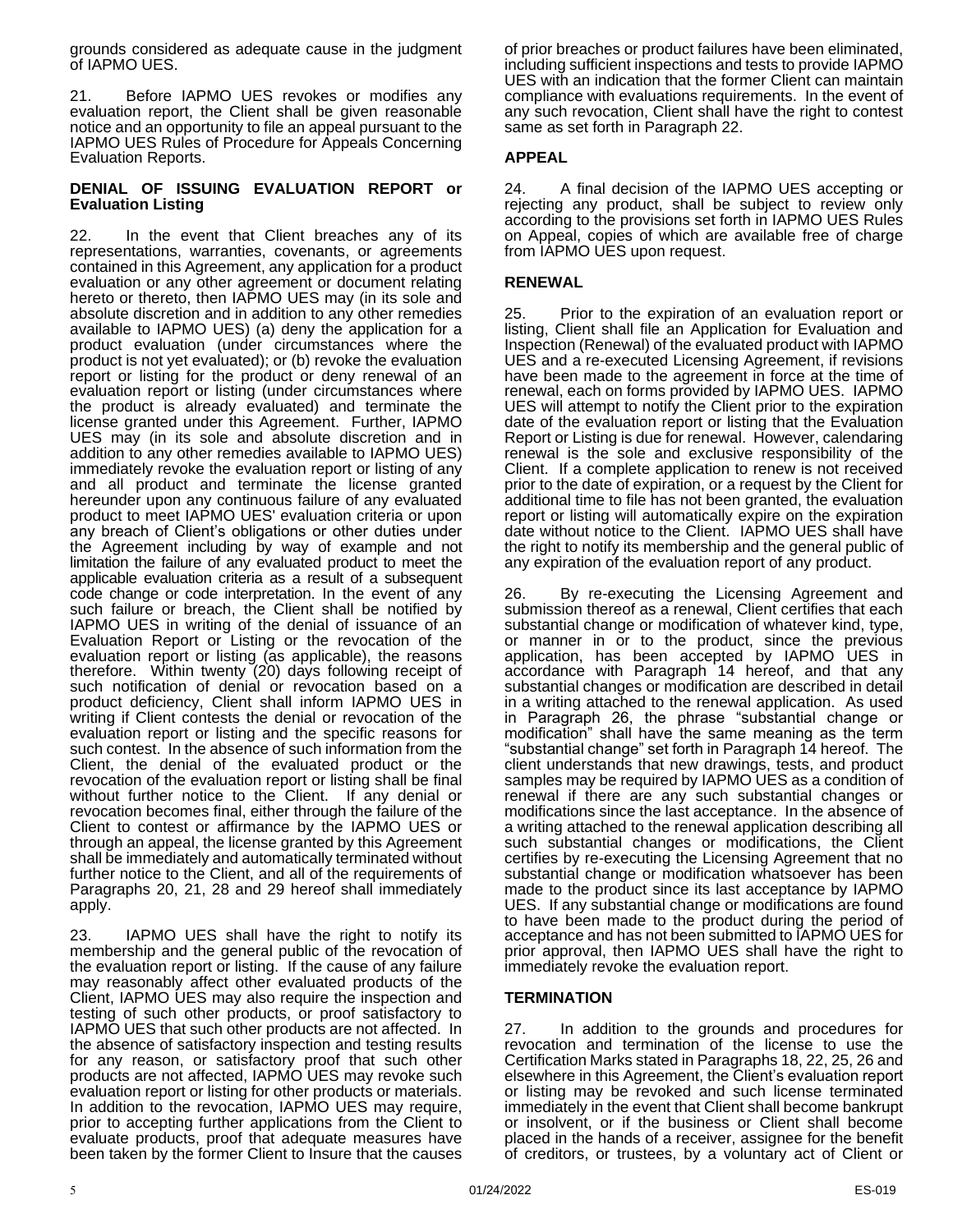grounds considered as adequate cause in the judgment of IAPMO UES.

21. Before IAPMO UES revokes or modifies any evaluation report, the Client shall be given reasonable notice and an opportunity to file an appeal pursuant to the IAPMO UES Rules of Procedure for Appeals Concerning Evaluation Reports.

#### **DENIAL OF ISSUING EVALUATION REPORT or Evaluation Listing**

22. In the event that Client breaches any of its representations, warranties, covenants, or agreements contained in this Agreement, any application for a product evaluation or any other agreement or document relating hereto or thereto, then IAPMO UES may (in its sole and absolute discretion and in addition to any other remedies available to IAPMO UES) (a) deny the application for a product evaluation (under circumstances where the product is not yet evaluated); or (b) revoke the evaluation report or listing for the product or deny renewal of an evaluation report or listing (under circumstances where the product is already evaluated) and terminate the license granted under this Agreement. Further, IAPMO UES may (in its sole and absolute discretion and in addition to any other remedies available to IAPMO UES) immediately revoke the evaluation report or listing of any and all product and terminate the license granted hereunder upon any continuous failure of any evaluated product to meet IAPMO UES' evaluation criteria or upon any breach of Client's obligations or other duties under the Agreement including by way of example and not limitation the failure of any evaluated product to meet the applicable evaluation criteria as a result of a subsequent code change or code interpretation. In the event of any such failure or breach, the Client shall be notified by IAPMO UES in writing of the denial of issuance of an Evaluation Report or Listing or the revocation of the evaluation report or listing (as applicable), the reasons therefore. Within twenty (20) days following receipt of such notification of denial or revocation based on a product deficiency, Client shall inform IAPMO UES in writing if Client contests the denial or revocation of the evaluation report or listing and the specific reasons for such contest. In the absence of such information from the Client, the denial of the evaluated product or the revocation of the evaluation report or listing shall be final without further notice to the Client. If any denial or revocation becomes final, either through the failure of the Client to contest or affirmance by the IAPMO UES or through an appeal, the license granted by this Agreement shall be immediately and automatically terminated without further notice to the Client, and all of the requirements of Paragraphs 20, 21, 28 and 29 hereof shall immediately apply.

23. IAPMO UES shall have the right to notify its membership and the general public of the revocation of the evaluation report or listing. If the cause of any failure may reasonably affect other evaluated products of the Client, IAPMO UES may also require the inspection and testing of such other products, or proof satisfactory to IAPMO UES that such other products are not affected. In the absence of satisfactory inspection and testing results for any reason, or satisfactory proof that such other products are not affected, IAPMO UES may revoke such evaluation report or listing for other products or materials. In addition to the revocation, IAPMO UES may require, prior to accepting further applications from the Client to evaluate products, proof that adequate measures have been taken by the former Client to Insure that the causes

of prior breaches or product failures have been eliminated, including sufficient inspections and tests to provide IAPMO UES with an indication that the former Client can maintain compliance with evaluations requirements. In the event of any such revocation, Client shall have the right to contest same as set forth in Paragraph 22.

### **APPEAL**

24. A final decision of the IAPMO UES accepting or rejecting any product, shall be subject to review only according to the provisions set forth in IAPMO UES Rules on Appeal, copies of which are available free of charge from IAPMO UES upon request.

### **RENEWAL**

25. Prior to the expiration of an evaluation report or listing, Client shall file an Application for Evaluation and Inspection (Renewal) of the evaluated product with IAPMO UES and a re-executed Licensing Agreement, if revisions have been made to the agreement in force at the time of renewal, each on forms provided by IAPMO UES. IAPMO UES will attempt to notify the Client prior to the expiration date of the evaluation report or listing that the Evaluation Report or Listing is due for renewal. However, calendaring renewal is the sole and exclusive responsibility of the Client. If a complete application to renew is not received prior to the date of expiration, or a request by the Client for additional time to file has not been granted, the evaluation report or listing will automatically expire on the expiration date without notice to the Client. IAPMO UES shall have the right to notify its membership and the general public of any expiration of the evaluation report of any product.

26. By re-executing the Licensing Agreement and submission thereof as a renewal, Client certifies that each substantial change or modification of whatever kind, type, or manner in or to the product, since the previous application, has been accepted by IAPMO UES in accordance with Paragraph 14 hereof, and that any substantial changes or modification are described in detail in a writing attached to the renewal application. As used in Paragraph 26, the phrase "substantial change or modification" shall have the same meaning as the term "substantial change" set forth in Paragraph 14 hereof. The client understands that new drawings, tests, and product samples may be required by IAPMO UES as a condition of renewal if there are any such substantial changes or modifications since the last acceptance. In the absence of a writing attached to the renewal application describing all such substantial changes or modifications, the Client certifies by re-executing the Licensing Agreement that no substantial change or modification whatsoever has been made to the product since its last acceptance by IAPMO UES. If any substantial change or modifications are found to have been made to the product during the period of acceptance and has not been submitted to IAPMO UES for prior approval, then IAPMO UES shall have the right to immediately revoke the evaluation report.

#### **TERMINATION**

27. In addition to the grounds and procedures for revocation and termination of the license to use the Certification Marks stated in Paragraphs 18, 22, 25, 26 and elsewhere in this Agreement, the Client's evaluation report or listing may be revoked and such license terminated immediately in the event that Client shall become bankrupt or insolvent, or if the business or Client shall become placed in the hands of a receiver, assignee for the benefit of creditors, or trustees, by a voluntary act of Client or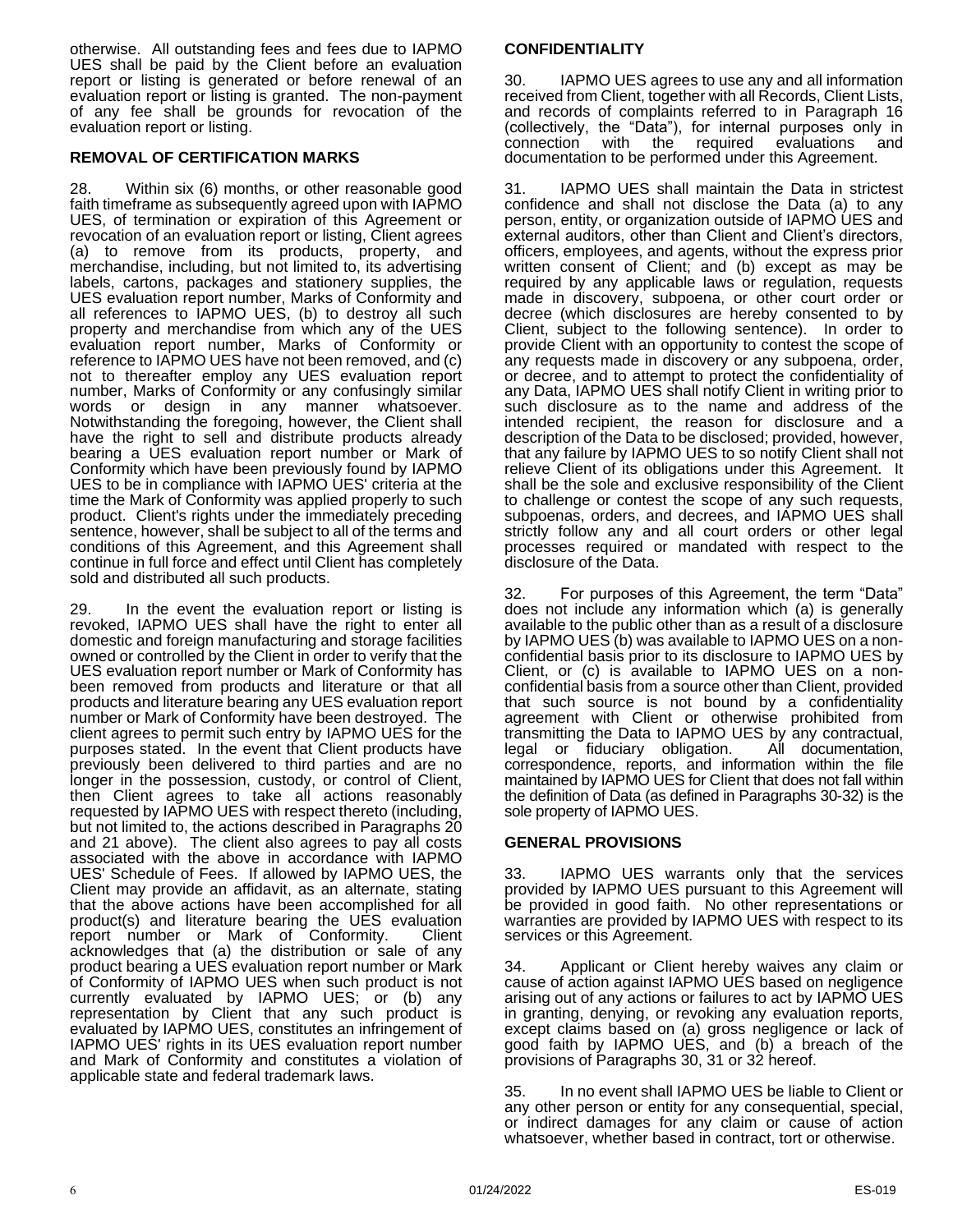otherwise. All outstanding fees and fees due to IAPMO UES shall be paid by the Client before an evaluation report or listing is generated or before renewal of an evaluation report or listing is granted. The non-payment of any fee shall be grounds for revocation of the evaluation report or listing.

#### **REMOVAL OF CERTIFICATION MARKS**

28. Within six (6) months, or other reasonable good faith timeframe as subsequently agreed upon with IAPMO UES, of termination or expiration of this Agreement or revocation of an evaluation report or listing, Client agrees (a) to remove from its products, property, and merchandise, including, but not limited to, its advertising labels, cartons, packages and stationery supplies, the UES evaluation report number, Marks of Conformity and all references to IAPMO UES, (b) to destroy all such property and merchandise from which any of the UES evaluation report number, Marks of Conformity or reference to IAPMO UES have not been removed, and (c) not to thereafter employ any UES evaluation report number, Marks of Conformity or any confusingly similar words or design in any manner whatsoever. Notwithstanding the foregoing, however, the Client shall have the right to sell and distribute products already bearing a UES evaluation report number or Mark of Conformity which have been previously found by IAPMO UES to be in compliance with IAPMO UES' criteria at the time the Mark of Conformity was applied properly to such product. Client's rights under the immediately preceding sentence, however, shall be subject to all of the terms and conditions of this Agreement, and this Agreement shall continue in full force and effect until Client has completely sold and distributed all such products.

29. In the event the evaluation report or listing is revoked, IAPMO UES shall have the right to enter all domestic and foreign manufacturing and storage facilities owned or controlled by the Client in order to verify that the UES evaluation report number or Mark of Conformity has been removed from products and literature or that all products and literature bearing any UES evaluation report number or Mark of Conformity have been destroyed. The client agrees to permit such entry by IAPMO UES for the purposes stated. In the event that Client products have previously been delivered to third parties and are no longer in the possession, custody, or control of Client, then Client agrees to take all actions reasonably requested by IAPMO UES with respect thereto (including, but not limited to, the actions described in Paragraphs 20 and 21 above). The client also agrees to pay all costs associated with the above in accordance with IAPMO UES' Schedule of Fees. If allowed by IAPMO UES, the Client may provide an affidavit, as an alternate, stating that the above actions have been accomplished for all product(s) and literature bearing the UES evaluation report number or Mark of Conformity. Client acknowledges that (a) the distribution or sale of any product bearing a UES evaluation report number or Mark of Conformity of IAPMO UES when such product is not currently evaluated by IAPMO UES; or (b) any representation by Client that any such product is evaluated by IAPMO UES, constitutes an infringement of IAPMO UES' rights in its UES evaluation report number and Mark of Conformity and constitutes a violation of applicable state and federal trademark laws.

#### **CONFIDENTIALITY**

30. IAPMO UES agrees to use any and all information received from Client, together with all Records, Client Lists, and records of complaints referred to in Paragraph 16 (collectively, the "Data"), for internal purposes only in connection with the required evaluations and documentation to be performed under this Agreement.

31. IAPMO UES shall maintain the Data in strictest confidence and shall not disclose the Data (a) to any person, entity, or organization outside of IAPMO UES and external auditors, other than Client and Client's directors, officers, employees, and agents, without the express prior written consent of Client; and (b) except as may be required by any applicable laws or regulation, requests made in discovery, subpoena, or other court order or decree (which disclosures are hereby consented to by Client, subject to the following sentence). In order to provide Client with an opportunity to contest the scope of any requests made in discovery or any subpoena, order, or decree, and to attempt to protect the confidentiality of any Data, IAPMO UES shall notify Client in writing prior to such disclosure as to the name and address of the intended recipient, the reason for disclosure and a description of the Data to be disclosed; provided, however, that any failure by IAPMO UES to so notify Client shall not relieve Client of its obligations under this Agreement. It shall be the sole and exclusive responsibility of the Client to challenge or contest the scope of any such requests, subpoenas, orders, and decrees, and IAPMO UES shall strictly follow any and all court orders or other legal processes required or mandated with respect to the disclosure of the Data.

32. For purposes of this Agreement, the term "Data" does not include any information which (a) is generally available to the public other than as a result of a disclosure by IAPMO UES (b) was available to IAPMO UES on a nonconfidential basis prior to its disclosure to IAPMO UES by Client, or (c) is available to IAPMO UES on a nonconfidential basis from a source other than Client, provided that such source is not bound by a confidentiality agreement with Client or otherwise prohibited from transmitting the Data to IAPMO UES by any contractual, legal or fiduciary obligation. All documentation, correspondence, reports, and information within the file maintained by IAPMO UES for Client that does not fall within the definition of Data (as defined in Paragraphs 30-32) is the sole property of IAPMO UES.

#### **GENERAL PROVISIONS**

33. IAPMO UES warrants only that the services provided by IAPMO UES pursuant to this Agreement will be provided in good faith. No other representations or warranties are provided by IAPMO UES with respect to its services or this Agreement.

34. Applicant or Client hereby waives any claim or cause of action against IAPMO UES based on negligence arising out of any actions or failures to act by IAPMO UES in granting, denying, or revoking any evaluation reports, except claims based on (a) gross negligence or lack of good faith by IAPMO UES, and (b) a breach of the provisions of Paragraphs 30, 31 or 32 hereof.

35. In no event shall IAPMO UES be liable to Client or any other person or entity for any consequential, special, or indirect damages for any claim or cause of action whatsoever, whether based in contract, tort or otherwise.